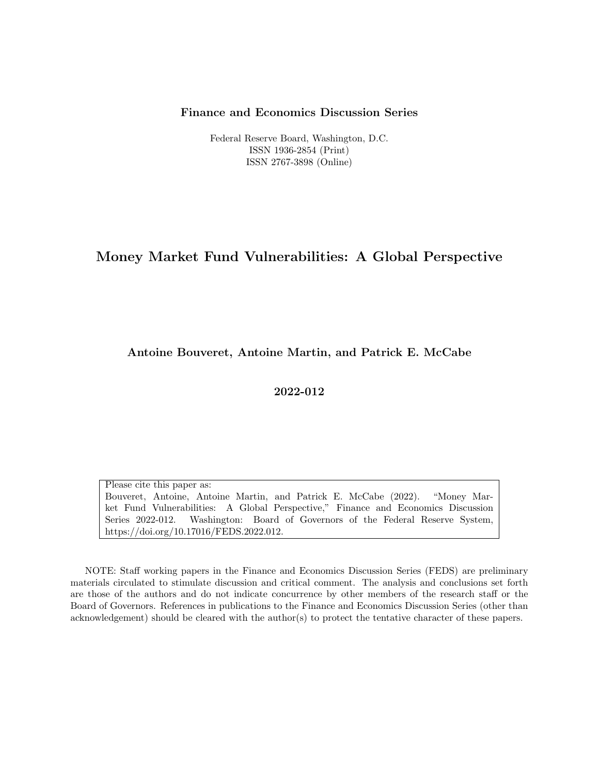#### Finance and Economics Discussion Series

Federal Reserve Board, Washington, D.C. ISSN 1936-2854 (Print) ISSN 2767-3898 (Online)

# Money Market Fund Vulnerabilities: A Global Perspective

Antoine Bouveret, Antoine Martin, and Patrick E. McCabe

2022-012

Please cite this paper as: Bouveret, Antoine, Antoine Martin, and Patrick E. McCabe (2022). "Money Market Fund Vulnerabilities: A Global Perspective," Finance and Economics Discussion Series 2022-012. Washington: Board of Governors of the Federal Reserve System, https://doi.org/10.17016/FEDS.2022.012.

NOTE: Staff working papers in the Finance and Economics Discussion Series (FEDS) are preliminary materials circulated to stimulate discussion and critical comment. The analysis and conclusions set forth are those of the authors and do not indicate concurrence by other members of the research staff or the Board of Governors. References in publications to the Finance and Economics Discussion Series (other than acknowledgement) should be cleared with the author(s) to protect the tentative character of these papers.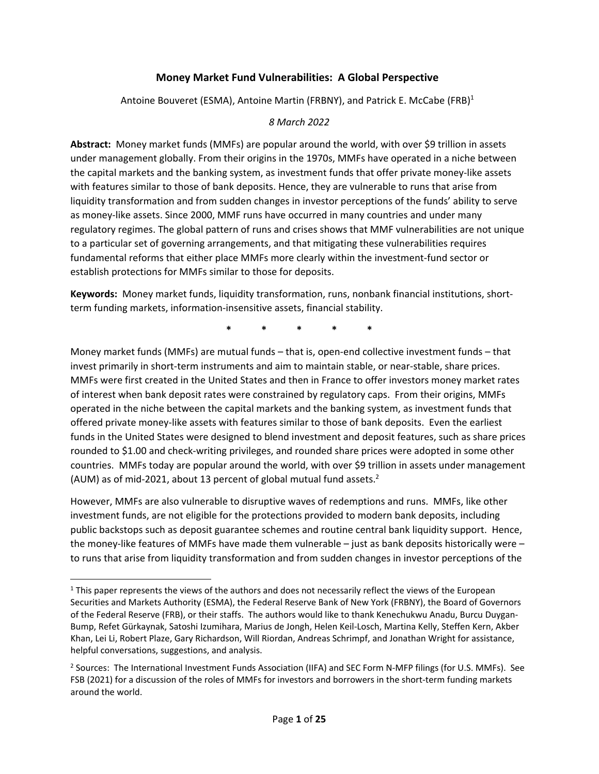# **Money Market Fund Vulnerabilities: A Global Perspective**

Antoine Bouveret (ESMA), Antoine Martin (FRBNY), and Patrick E. McCabe (FRB)<sup>1</sup>

#### *8 March 2022*

**Abstract:** Money market funds (MMFs) are popular around the world, with over \$9 trillion in assets under management globally. From their origins in the 1970s, MMFs have operated in a niche between the capital markets and the banking system, as investment funds that offer private money-like assets with features similar to those of bank deposits. Hence, they are vulnerable to runs that arise from liquidity transformation and from sudden changes in investor perceptions of the funds' ability to serve as money‐like assets. Since 2000, MMF runs have occurred in many countries and under many regulatory regimes. The global pattern of runs and crises shows that MMF vulnerabilities are not unique to a particular set of governing arrangements, and that mitigating these vulnerabilities requires fundamental reforms that either place MMFs more clearly within the investment‐fund sector or establish protections for MMFs similar to those for deposits.

**Keywords:** Money market funds, liquidity transformation, runs, nonbank financial institutions, short‐ term funding markets, information‐insensitive assets, financial stability.

**\* \* \* \* \***

Money market funds (MMFs) are mutual funds – that is, open-end collective investment funds – that invest primarily in short-term instruments and aim to maintain stable, or near-stable, share prices. MMFs were first created in the United States and then in France to offer investors money market rates of interest when bank deposit rates were constrained by regulatory caps. From their origins, MMFs operated in the niche between the capital markets and the banking system, as investment funds that offered private money‐like assets with features similar to those of bank deposits. Even the earliest funds in the United States were designed to blend investment and deposit features, such as share prices rounded to \$1.00 and check‐writing privileges, and rounded share prices were adopted in some other countries. MMFs today are popular around the world, with over \$9 trillion in assets under management (AUM) as of mid-2021, about 13 percent of global mutual fund assets. $2$ 

However, MMFs are also vulnerable to disruptive waves of redemptions and runs. MMFs, like other investment funds, are not eligible for the protections provided to modern bank deposits, including public backstops such as deposit guarantee schemes and routine central bank liquidity support. Hence, the money‐like features of MMFs have made them vulnerable – just as bank deposits historically were – to runs that arise from liquidity transformation and from sudden changes in investor perceptions of the

 $1$  This paper represents the views of the authors and does not necessarily reflect the views of the European Securities and Markets Authority (ESMA), the Federal Reserve Bank of New York (FRBNY), the Board of Governors of the Federal Reserve (FRB), or their staffs. The authors would like to thank Kenechukwu Anadu, Burcu Duygan‐ Bump, Refet Gürkaynak, Satoshi Izumihara, Marius de Jongh, Helen Keil‐Losch, Martina Kelly, Steffen Kern, Akber Khan, Lei Li, Robert Plaze, Gary Richardson, Will Riordan, Andreas Schrimpf, and Jonathan Wright for assistance, helpful conversations, suggestions, and analysis.

<sup>&</sup>lt;sup>2</sup> Sources: The International Investment Funds Association (IIFA) and SEC Form N-MFP filings (for U.S. MMFs). See FSB (2021) for a discussion of the roles of MMFs for investors and borrowers in the short-term funding markets around the world.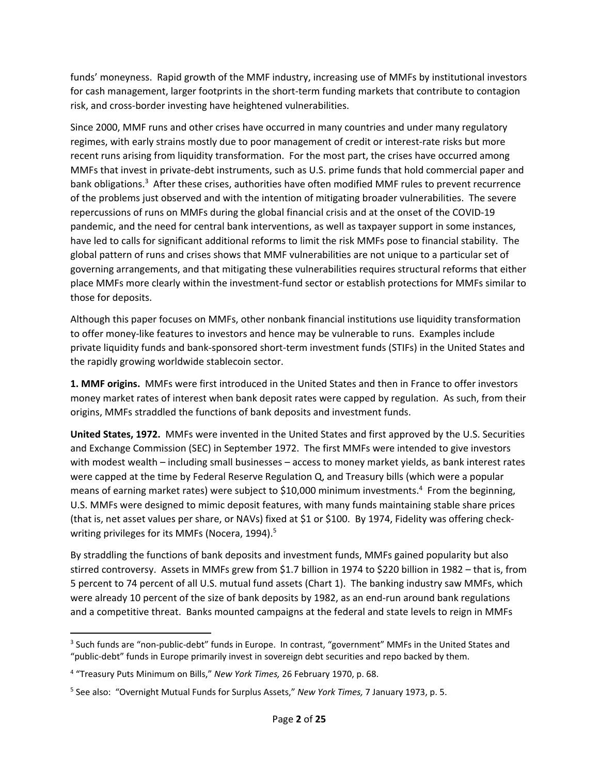funds' moneyness. Rapid growth of the MMF industry, increasing use of MMFs by institutional investors for cash management, larger footprints in the short-term funding markets that contribute to contagion risk, and cross‐border investing have heightened vulnerabilities.

Since 2000, MMF runs and other crises have occurred in many countries and under many regulatory regimes, with early strains mostly due to poor management of credit or interest-rate risks but more recent runs arising from liquidity transformation. For the most part, the crises have occurred among MMFs that invest in private‐debt instruments, such as U.S. prime funds that hold commercial paper and bank obligations.<sup>3</sup> After these crises, authorities have often modified MMF rules to prevent recurrence of the problems just observed and with the intention of mitigating broader vulnerabilities. The severe repercussions of runs on MMFs during the global financial crisis and at the onset of the COVID‐19 pandemic, and the need for central bank interventions, as well as taxpayer support in some instances, have led to calls for significant additional reforms to limit the risk MMFs pose to financial stability. The global pattern of runs and crises shows that MMF vulnerabilities are not unique to a particular set of governing arrangements, and that mitigating these vulnerabilities requires structural reforms that either place MMFs more clearly within the investment‐fund sector or establish protections for MMFs similar to those for deposits.

Although this paper focuses on MMFs, other nonbank financial institutions use liquidity transformation to offer money‐like features to investors and hence may be vulnerable to runs. Examples include private liquidity funds and bank‐sponsored short‐term investment funds (STIFs) in the United States and the rapidly growing worldwide stablecoin sector.

**1. MMF origins.** MMFs were first introduced in the United States and then in France to offer investors money market rates of interest when bank deposit rates were capped by regulation. As such, from their origins, MMFs straddled the functions of bank deposits and investment funds.

**United States, 1972.** MMFs were invented in the United States and first approved by the U.S. Securities and Exchange Commission (SEC) in September 1972. The first MMFs were intended to give investors with modest wealth – including small businesses – access to money market yields, as bank interest rates were capped at the time by Federal Reserve Regulation Q, and Treasury bills (which were a popular means of earning market rates) were subject to \$10,000 minimum investments.<sup>4</sup> From the beginning, U.S. MMFs were designed to mimic deposit features, with many funds maintaining stable share prices (that is, net asset values per share, or NAVs) fixed at \$1 or \$100. By 1974, Fidelity was offering check‐ writing privileges for its MMFs (Nocera, 1994).<sup>5</sup>

By straddling the functions of bank deposits and investment funds, MMFs gained popularity but also stirred controversy. Assets in MMFs grew from \$1.7 billion in 1974 to \$220 billion in 1982 – that is, from 5 percent to 74 percent of all U.S. mutual fund assets (Chart 1). The banking industry saw MMFs, which were already 10 percent of the size of bank deposits by 1982, as an end-run around bank regulations and a competitive threat. Banks mounted campaigns at the federal and state levels to reign in MMFs

<sup>&</sup>lt;sup>3</sup> Such funds are "non-public-debt" funds in Europe. In contrast, "government" MMFs in the United States and "public‐debt" funds in Europe primarily invest in sovereign debt securities and repo backed by them.

<sup>4</sup> "Treasury Puts Minimum on Bills," *New York Times,* 26 February 1970, p. 68.

<sup>5</sup> See also: "Overnight Mutual Funds for Surplus Assets," *New York Times,* 7 January 1973, p. 5.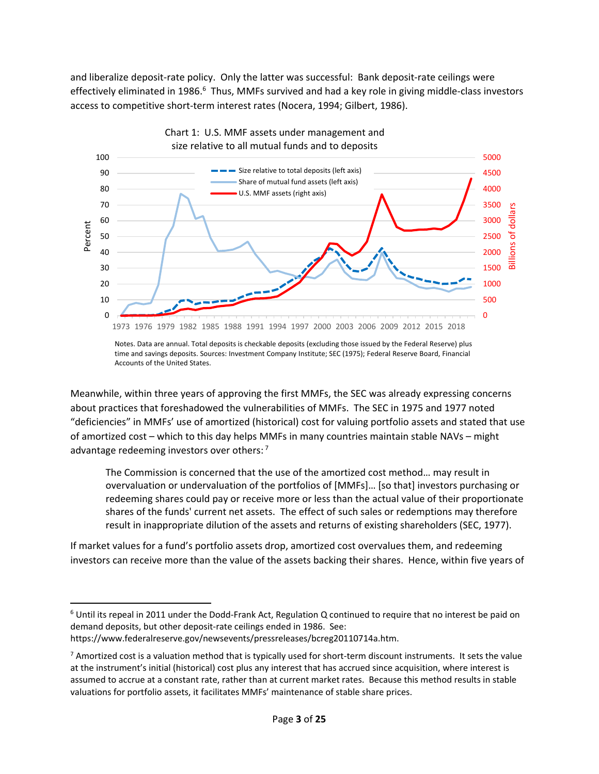and liberalize deposit-rate policy. Only the latter was successful: Bank deposit-rate ceilings were effectively eliminated in 1986.<sup>6</sup> Thus, MMFs survived and had a key role in giving middle-class investors access to competitive short‐term interest rates (Nocera, 1994; Gilbert, 1986).



Notes. Data are annual. Total deposits is checkable deposits (excluding those issued by the Federal Reserve) plus time and savings deposits. Sources: Investment Company Institute; SEC (1975); Federal Reserve Board, Financial Accounts of the United States.

Meanwhile, within three years of approving the first MMFs, the SEC was already expressing concerns about practices that foreshadowed the vulnerabilities of MMFs. The SEC in 1975 and 1977 noted "deficiencies" in MMFs' use of amortized (historical) cost for valuing portfolio assets and stated that use of amortized cost – which to this day helps MMFs in many countries maintain stable NAVs – might advantage redeeming investors over others:<sup>7</sup>

The Commission is concerned that the use of the amortized cost method… may result in overvaluation or undervaluation of the portfolios of [MMFs]… [so that] investors purchasing or redeeming shares could pay or receive more or less than the actual value of their proportionate shares of the funds' current net assets. The effect of such sales or redemptions may therefore result in inappropriate dilution of the assets and returns of existing shareholders (SEC, 1977).

If market values for a fund's portfolio assets drop, amortized cost overvalues them, and redeeming investors can receive more than the value of the assets backing their shares. Hence, within five years of

 $6$  Until its repeal in 2011 under the Dodd-Frank Act, Regulation Q continued to require that no interest be paid on demand deposits, but other deposit‐rate ceilings ended in 1986. See: https://www.federalreserve.gov/newsevents/pressreleases/bcreg20110714a.htm.

 $7$  Amortized cost is a valuation method that is typically used for short-term discount instruments. It sets the value at the instrument's initial (historical) cost plus any interest that has accrued since acquisition, where interest is assumed to accrue at a constant rate, rather than at current market rates. Because this method results in stable valuations for portfolio assets, it facilitates MMFs' maintenance of stable share prices.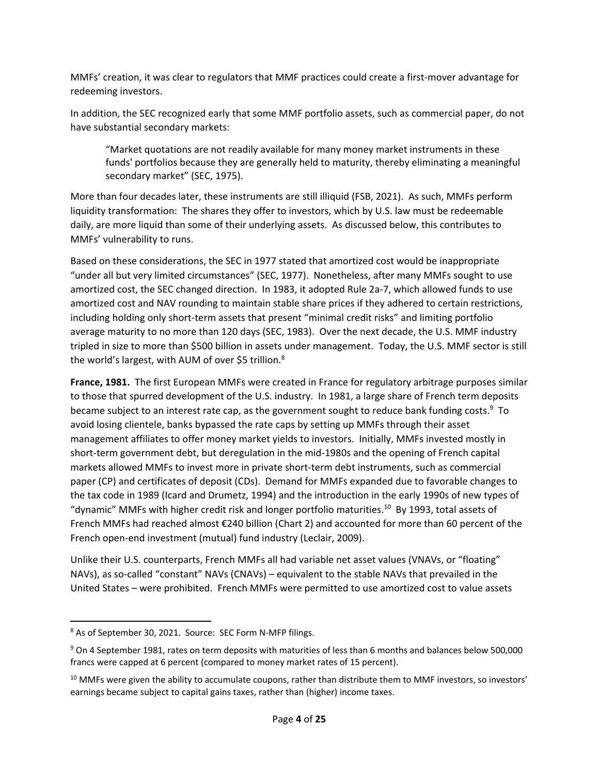MMFs' creation, it was clear to regulators that MMF practices could create a first‐mover advantage for redeeming investors.

In addition, the SEC recognized early that some MMF portfolio assets, such as commercial paper, do not have substantial secondary markets:

"Market quotations are not readily available for many money market instruments in these funds' portfolios because they are generally held to maturity, thereby eliminating a meaningful secondary market" (SEC, 1975).

More than four decades later, these instruments are still illiquid (FSB, 2021). As such, MMFs perform liquidity transformation: The shares they offer to investors, which by U.S. law must be redeemable daily, are more liquid than some of their underlying assets. As discussed below, this contributes to MMFs' vulnerability to runs.

Based on these considerations, the SEC in 1977 stated that amortized cost would be inappropriate "under all but very limited circumstances" (SEC, 1977). Nonetheless, after many MMFs sought to use amortized cost, the SEC changed direction. In 1983, it adopted Rule 2a‐7, which allowed funds to use amortized cost and NAV rounding to maintain stable share prices if they adhered to certain restrictions, including holding only short-term assets that present "minimal credit risks" and limiting portfolio average maturity to no more than 120 days (SEC, 1983). Over the next decade, the U.S. MMF industry tripled in size to more than \$500 billion in assets under management. Today, the U.S. MMF sector is still the world's largest, with AUM of over \$5 trillion.<sup>8</sup>

**France, 1981.** The first European MMFs were created in France for regulatory arbitrage purposes similar to those that spurred development of the U.S. industry. In 1981, a large share of French term deposits became subject to an interest rate cap, as the government sought to reduce bank funding costs.<sup>9</sup> To avoid losing clientele, banks bypassed the rate caps by setting up MMFs through their asset management affiliates to offer money market yields to investors. Initially, MMFs invested mostly in short-term government debt, but deregulation in the mid-1980s and the opening of French capital markets allowed MMFs to invest more in private short‐term debt instruments, such as commercial paper (CP) and certificates of deposit (CDs). Demand for MMFs expanded due to favorable changes to the tax code in 1989 (Icard and Drumetz, 1994) and the introduction in the early 1990s of new types of "dynamic" MMFs with higher credit risk and longer portfolio maturities. $^{10}$  By 1993, total assets of French MMFs had reached almost €240 billion (Chart 2) and accounted for more than 60 percent of the French open‐end investment (mutual) fund industry (Leclair, 2009).

Unlike their U.S. counterparts, French MMFs all had variable net asset values (VNAVs, or "floating" NAVs), as so-called "constant" NAVs (CNAVs) – equivalent to the stable NAVs that prevailed in the United States – were prohibited. French MMFs were permitted to use amortized cost to value assets

<sup>8</sup> As of September 30, 2021. Source: SEC Form N‐MFP filings.

<sup>9</sup> On 4 September 1981, rates on term deposits with maturities of less than 6 months and balances below 500,000 francs were capped at 6 percent (compared to money market rates of 15 percent).

<sup>&</sup>lt;sup>10</sup> MMFs were given the ability to accumulate coupons, rather than distribute them to MMF investors, so investors' earnings became subject to capital gains taxes, rather than (higher) income taxes.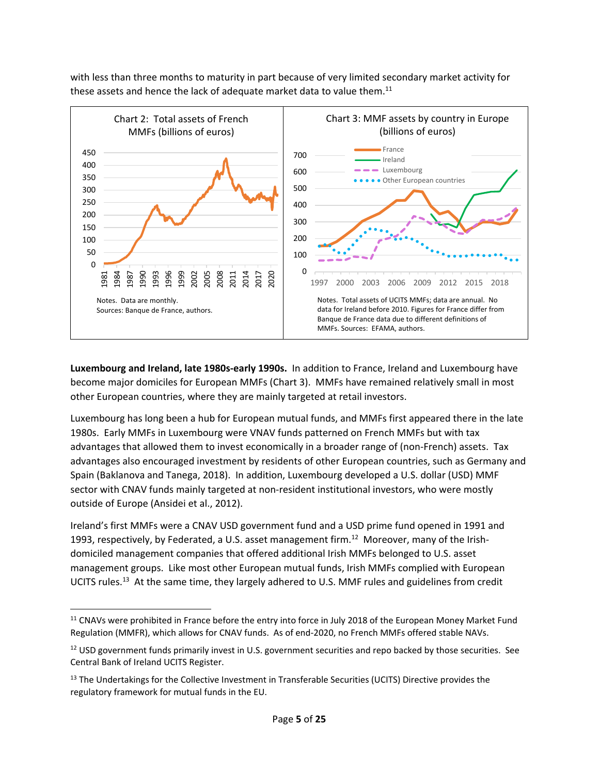with less than three months to maturity in part because of very limited secondary market activity for these assets and hence the lack of adequate market data to value them.<sup>11</sup>



**Luxembourg and Ireland, late 1980s‐early 1990s.** In addition to France, Ireland and Luxembourg have become major domiciles for European MMFs (Chart 3). MMFs have remained relatively small in most other European countries, where they are mainly targeted at retail investors.

Luxembourg has long been a hub for European mutual funds, and MMFs first appeared there in the late 1980s. Early MMFs in Luxembourg were VNAV funds patterned on French MMFs but with tax advantages that allowed them to invest economically in a broader range of (non‐French) assets. Tax advantages also encouraged investment by residents of other European countries, such as Germany and Spain (Baklanova and Tanega, 2018). In addition, Luxembourg developed a U.S. dollar (USD) MMF sector with CNAV funds mainly targeted at non-resident institutional investors, who were mostly outside of Europe (Ansidei et al., 2012).

Ireland's first MMFs were a CNAV USD government fund and a USD prime fund opened in 1991 and 1993, respectively, by Federated, a U.S. asset management firm.<sup>12</sup> Moreover, many of the Irishdomiciled management companies that offered additional Irish MMFs belonged to U.S. asset management groups. Like most other European mutual funds, Irish MMFs complied with European UCITS rules.<sup>13</sup> At the same time, they largely adhered to U.S. MMF rules and guidelines from credit

<sup>&</sup>lt;sup>11</sup> CNAVs were prohibited in France before the entry into force in July 2018 of the European Money Market Fund Regulation (MMFR), which allows for CNAV funds. As of end‐2020, no French MMFs offered stable NAVs.

<sup>&</sup>lt;sup>12</sup> USD government funds primarily invest in U.S. government securities and repo backed by those securities. See Central Bank of Ireland UCITS Register.

<sup>&</sup>lt;sup>13</sup> The Undertakings for the Collective Investment in Transferable Securities (UCITS) Directive provides the regulatory framework for mutual funds in the EU.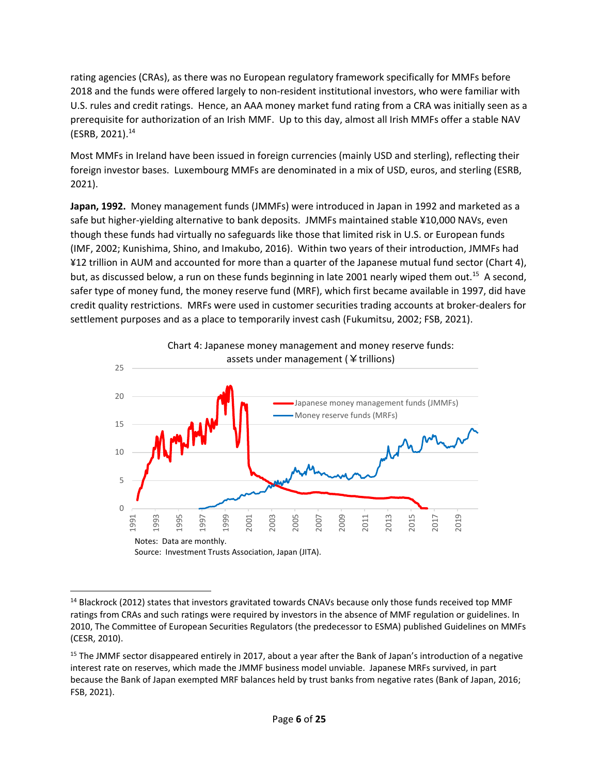rating agencies (CRAs), as there was no European regulatory framework specifically for MMFs before 2018 and the funds were offered largely to non‐resident institutional investors, who were familiar with U.S. rules and credit ratings. Hence, an AAA money market fund rating from a CRA was initially seen as a prerequisite for authorization of an Irish MMF. Up to this day, almost all Irish MMFs offer a stable NAV (ESRB, 2021). $14$ 

Most MMFs in Ireland have been issued in foreign currencies (mainly USD and sterling), reflecting their foreign investor bases. Luxembourg MMFs are denominated in a mix of USD, euros, and sterling (ESRB, 2021).

**Japan, 1992.** Money management funds (JMMFs) were introduced in Japan in 1992 and marketed as a safe but higher-yielding alternative to bank deposits. JMMFs maintained stable ¥10,000 NAVs, even though these funds had virtually no safeguards like those that limited risk in U.S. or European funds (IMF, 2002; Kunishima, Shino, and Imakubo, 2016). Within two years of their introduction, JMMFs had ¥12 trillion in AUM and accounted for more than a quarter of the Japanese mutual fund sector (Chart 4), but, as discussed below, a run on these funds beginning in late 2001 nearly wiped them out.<sup>15</sup> A second, safer type of money fund, the money reserve fund (MRF), which first became available in 1997, did have credit quality restrictions. MRFs were used in customer securities trading accounts at broker‐dealers for settlement purposes and as a place to temporarily invest cash (Fukumitsu, 2002; FSB, 2021).



<sup>&</sup>lt;sup>14</sup> Blackrock (2012) states that investors gravitated towards CNAVs because only those funds received top MMF ratings from CRAs and such ratings were required by investors in the absence of MMF regulation or guidelines. In 2010, The Committee of European Securities Regulators (the predecessor to ESMA) published Guidelines on MMFs (CESR, 2010).

<sup>&</sup>lt;sup>15</sup> The JMMF sector disappeared entirely in 2017, about a year after the Bank of Japan's introduction of a negative interest rate on reserves, which made the JMMF business model unviable. Japanese MRFs survived, in part because the Bank of Japan exempted MRF balances held by trust banks from negative rates (Bank of Japan, 2016; FSB, 2021).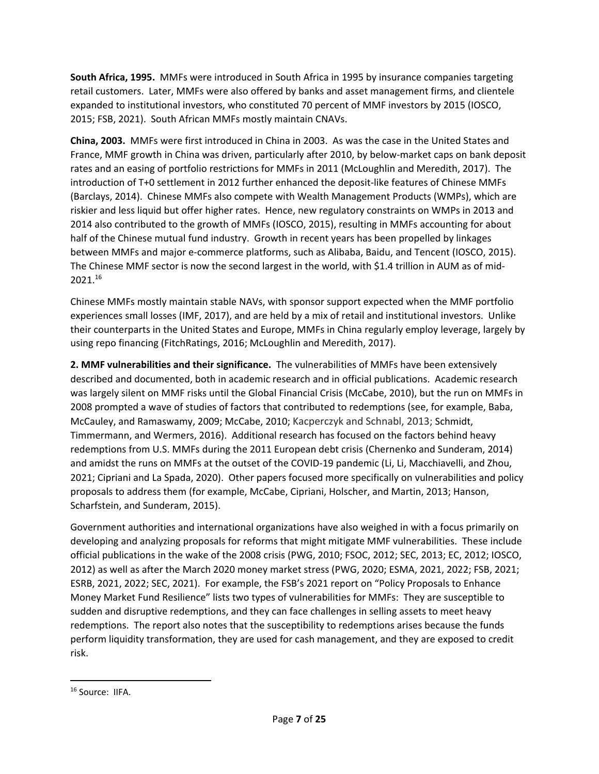**South Africa, 1995.** MMFs were introduced in South Africa in 1995 by insurance companies targeting retail customers. Later, MMFs were also offered by banks and asset management firms, and clientele expanded to institutional investors, who constituted 70 percent of MMF investors by 2015 (IOSCO, 2015; FSB, 2021). South African MMFs mostly maintain CNAVs.

**China, 2003.** MMFs were first introduced in China in 2003. As was the case in the United States and France, MMF growth in China was driven, particularly after 2010, by below-market caps on bank deposit rates and an easing of portfolio restrictions for MMFs in 2011 (McLoughlin and Meredith, 2017). The introduction of T+0 settlement in 2012 further enhanced the deposit‐like features of Chinese MMFs (Barclays, 2014). Chinese MMFs also compete with Wealth Management Products (WMPs), which are riskier and less liquid but offer higher rates. Hence, new regulatory constraints on WMPs in 2013 and 2014 also contributed to the growth of MMFs (IOSCO, 2015), resulting in MMFs accounting for about half of the Chinese mutual fund industry. Growth in recent years has been propelled by linkages between MMFs and major e-commerce platforms, such as Alibaba, Baidu, and Tencent (IOSCO, 2015). The Chinese MMF sector is now the second largest in the world, with \$1.4 trillion in AUM as of mid‐ 2021.16

Chinese MMFs mostly maintain stable NAVs, with sponsor support expected when the MMF portfolio experiences small losses (IMF, 2017), and are held by a mix of retail and institutional investors. Unlike their counterparts in the United States and Europe, MMFs in China regularly employ leverage, largely by using repo financing (FitchRatings, 2016; McLoughlin and Meredith, 2017).

**2. MMF vulnerabilities and their significance.** The vulnerabilities of MMFs have been extensively described and documented, both in academic research and in official publications. Academic research was largely silent on MMF risks until the Global Financial Crisis (McCabe, 2010), but the run on MMFs in 2008 prompted a wave of studies of factors that contributed to redemptions (see, for example, Baba, McCauley, and Ramaswamy, 2009; McCabe, 2010; Kacperczyk and Schnabl, 2013; Schmidt, Timmermann, and Wermers, 2016). Additional research has focused on the factors behind heavy redemptions from U.S. MMFs during the 2011 European debt crisis (Chernenko and Sunderam, 2014) and amidst the runs on MMFs at the outset of the COVID‐19 pandemic (Li, Li, Macchiavelli, and Zhou, 2021; Cipriani and La Spada, 2020). Other papers focused more specifically on vulnerabilities and policy proposals to address them (for example, McCabe, Cipriani, Holscher, and Martin, 2013; Hanson, Scharfstein, and Sunderam, 2015).

Government authorities and international organizations have also weighed in with a focus primarily on developing and analyzing proposals for reforms that might mitigate MMF vulnerabilities. These include official publications in the wake of the 2008 crisis (PWG, 2010; FSOC, 2012; SEC, 2013; EC, 2012; IOSCO, 2012) as well as after the March 2020 money market stress (PWG, 2020; ESMA, 2021, 2022; FSB, 2021; ESRB, 2021, 2022; SEC, 2021). For example, the FSB's 2021 report on "Policy Proposals to Enhance Money Market Fund Resilience" lists two types of vulnerabilities for MMFs: They are susceptible to sudden and disruptive redemptions, and they can face challenges in selling assets to meet heavy redemptions. The report also notes that the susceptibility to redemptions arises because the funds perform liquidity transformation, they are used for cash management, and they are exposed to credit risk.

<sup>16</sup> Source: IIFA.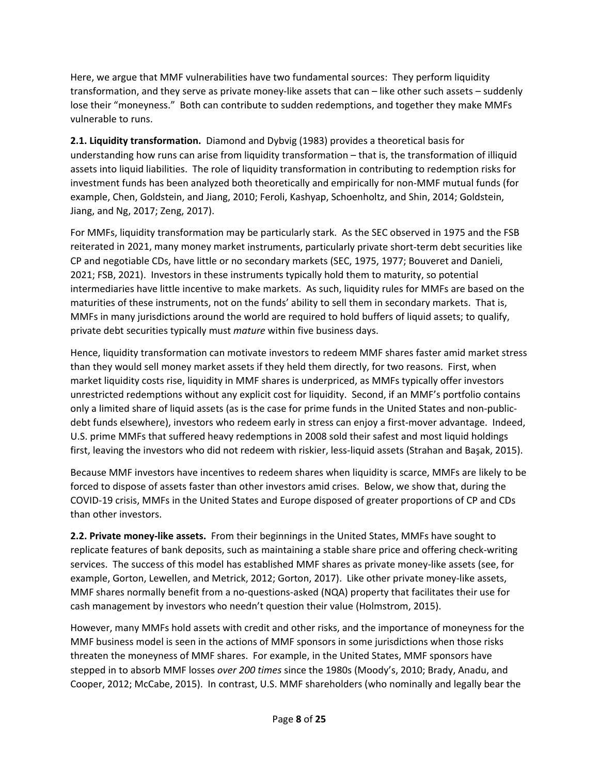Here, we argue that MMF vulnerabilities have two fundamental sources: They perform liquidity transformation, and they serve as private money-like assets that can – like other such assets – suddenly lose their "moneyness." Both can contribute to sudden redemptions, and together they make MMFs vulnerable to runs.

**2.1. Liquidity transformation.** Diamond and Dybvig (1983) provides a theoretical basis for understanding how runs can arise from liquidity transformation – that is, the transformation of illiquid assets into liquid liabilities. The role of liquidity transformation in contributing to redemption risks for investment funds has been analyzed both theoretically and empirically for non‐MMF mutual funds (for example, Chen, Goldstein, and Jiang, 2010; Feroli, Kashyap, Schoenholtz, and Shin, 2014; Goldstein, Jiang, and Ng, 2017; Zeng, 2017).

For MMFs, liquidity transformation may be particularly stark. As the SEC observed in 1975 and the FSB reiterated in 2021, many money market instruments, particularly private short-term debt securities like CP and negotiable CDs, have little or no secondary markets (SEC, 1975, 1977; Bouveret and Danieli, 2021; FSB, 2021). Investors in these instruments typically hold them to maturity, so potential intermediaries have little incentive to make markets. As such, liquidity rules for MMFs are based on the maturities of these instruments, not on the funds' ability to sell them in secondary markets. That is, MMFs in many jurisdictions around the world are required to hold buffers of liquid assets; to qualify, private debt securities typically must *mature* within five business days.

Hence, liquidity transformation can motivate investors to redeem MMF shares faster amid market stress than they would sell money market assets if they held them directly, for two reasons. First, when market liquidity costs rise, liquidity in MMF shares is underpriced, as MMFs typically offer investors unrestricted redemptions without any explicit cost for liquidity. Second, if an MMF's portfolio contains only a limited share of liquid assets (as is the case for prime funds in the United States and non‐public‐ debt funds elsewhere), investors who redeem early in stress can enjoy a first-mover advantage. Indeed, U.S. prime MMFs that suffered heavy redemptions in 2008 sold their safest and most liquid holdings first, leaving the investors who did not redeem with riskier, less-liquid assets (Strahan and Başak, 2015).

Because MMF investors have incentives to redeem shares when liquidity is scarce, MMFs are likely to be forced to dispose of assets faster than other investors amid crises. Below, we show that, during the COVID‐19 crisis, MMFs in the United States and Europe disposed of greater proportions of CP and CDs than other investors.

**2.2. Private money‐like assets.** From their beginnings in the United States, MMFs have sought to replicate features of bank deposits, such as maintaining a stable share price and offering check‐writing services. The success of this model has established MMF shares as private money-like assets (see, for example, Gorton, Lewellen, and Metrick, 2012; Gorton, 2017). Like other private money-like assets, MMF shares normally benefit from a no-questions-asked (NQA) property that facilitates their use for cash management by investors who needn't question their value (Holmstrom, 2015).

However, many MMFs hold assets with credit and other risks, and the importance of moneyness for the MMF business model is seen in the actions of MMF sponsors in some jurisdictions when those risks threaten the moneyness of MMF shares. For example, in the United States, MMF sponsors have stepped in to absorb MMF losses *over 200 times* since the 1980s (Moody's, 2010; Brady, Anadu, and Cooper, 2012; McCabe, 2015). In contrast, U.S. MMF shareholders (who nominally and legally bear the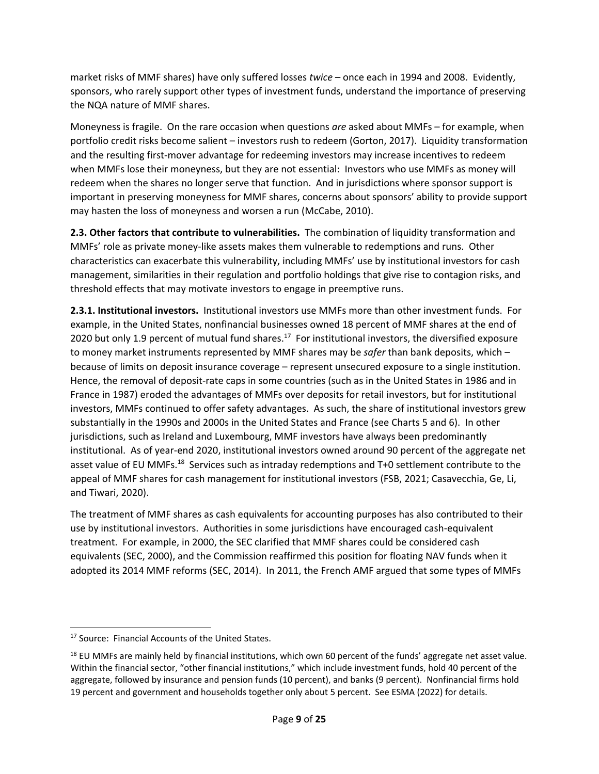market risks of MMF shares) have only suffered losses *twice –* once each in 1994 and 2008. Evidently, sponsors, who rarely support other types of investment funds, understand the importance of preserving the NQA nature of MMF shares.

Moneyness is fragile. On the rare occasion when questions *are* asked about MMFs – for example, when portfolio credit risks become salient – investors rush to redeem (Gorton, 2017). Liquidity transformation and the resulting first-mover advantage for redeeming investors may increase incentives to redeem when MMFs lose their moneyness, but they are not essential: Investors who use MMFs as money will redeem when the shares no longer serve that function. And in jurisdictions where sponsor support is important in preserving moneyness for MMF shares, concerns about sponsors' ability to provide support may hasten the loss of moneyness and worsen a run (McCabe, 2010).

**2.3. Other factors that contribute to vulnerabilities.** The combination of liquidity transformation and MMFs' role as private money‐like assets makes them vulnerable to redemptions and runs. Other characteristics can exacerbate this vulnerability, including MMFs' use by institutional investors for cash management, similarities in their regulation and portfolio holdings that give rise to contagion risks, and threshold effects that may motivate investors to engage in preemptive runs.

**2.3.1. Institutional investors.** Institutional investors use MMFs more than other investment funds. For example, in the United States, nonfinancial businesses owned 18 percent of MMF shares at the end of 2020 but only 1.9 percent of mutual fund shares.<sup>17</sup> For institutional investors, the diversified exposure to money market instruments represented by MMF shares may be *safer* than bank deposits, which – because of limits on deposit insurance coverage – represent unsecured exposure to a single institution. Hence, the removal of deposit-rate caps in some countries (such as in the United States in 1986 and in France in 1987) eroded the advantages of MMFs over deposits for retail investors, but for institutional investors, MMFs continued to offer safety advantages. As such, the share of institutional investors grew substantially in the 1990s and 2000s in the United States and France (see Charts 5 and 6). In other jurisdictions, such as Ireland and Luxembourg, MMF investors have always been predominantly institutional. As of year‐end 2020, institutional investors owned around 90 percent of the aggregate net asset value of EU MMFs.<sup>18</sup> Services such as intraday redemptions and T+0 settlement contribute to the appeal of MMF shares for cash management for institutional investors (FSB, 2021; Casavecchia, Ge, Li, and Tiwari, 2020).

The treatment of MMF shares as cash equivalents for accounting purposes has also contributed to their use by institutional investors. Authorities in some jurisdictions have encouraged cash‐equivalent treatment. For example, in 2000, the SEC clarified that MMF shares could be considered cash equivalents (SEC, 2000), and the Commission reaffirmed this position for floating NAV funds when it adopted its 2014 MMF reforms (SEC, 2014). In 2011, the French AMF argued that some types of MMFs

<sup>&</sup>lt;sup>17</sup> Source: Financial Accounts of the United States.

 $18$  EU MMFs are mainly held by financial institutions, which own 60 percent of the funds' aggregate net asset value. Within the financial sector, "other financial institutions," which include investment funds, hold 40 percent of the aggregate, followed by insurance and pension funds (10 percent), and banks (9 percent). Nonfinancial firms hold 19 percent and government and households together only about 5 percent. See ESMA (2022) for details.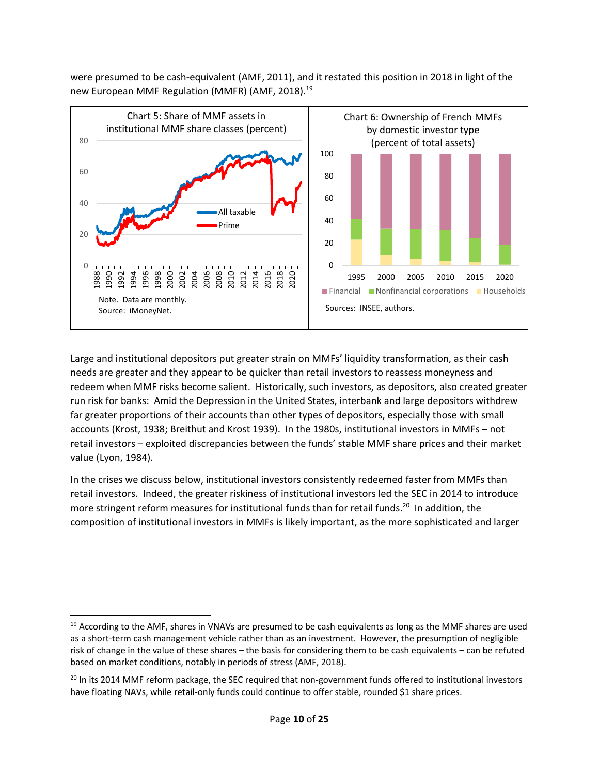were presumed to be cash‐equivalent (AMF, 2011), and it restated this position in 2018 in light of the new European MMF Regulation (MMFR) (AMF, 2018).<sup>19</sup>



Large and institutional depositors put greater strain on MMFs' liquidity transformation, as their cash needs are greater and they appear to be quicker than retail investors to reassess moneyness and redeem when MMF risks become salient. Historically, such investors, as depositors, also created greater run risk for banks: Amid the Depression in the United States, interbank and large depositors withdrew far greater proportions of their accounts than other types of depositors, especially those with small accounts (Krost, 1938; Breithut and Krost 1939). In the 1980s, institutional investors in MMFs – not retail investors – exploited discrepancies between the funds' stable MMF share prices and their market value (Lyon, 1984).

In the crises we discuss below, institutional investors consistently redeemed faster from MMFs than retail investors. Indeed, the greater riskiness of institutional investors led the SEC in 2014 to introduce more stringent reform measures for institutional funds than for retail funds.<sup>20</sup> In addition, the composition of institutional investors in MMFs is likely important, as the more sophisticated and larger

 $19$  According to the AMF, shares in VNAVs are presumed to be cash equivalents as long as the MMF shares are used as a short-term cash management vehicle rather than as an investment. However, the presumption of negligible risk of change in the value of these shares – the basis for considering them to be cash equivalents – can be refuted based on market conditions, notably in periods of stress (AMF, 2018).

<sup>&</sup>lt;sup>20</sup> In its 2014 MMF reform package, the SEC required that non-government funds offered to institutional investors have floating NAVs, while retail-only funds could continue to offer stable, rounded \$1 share prices.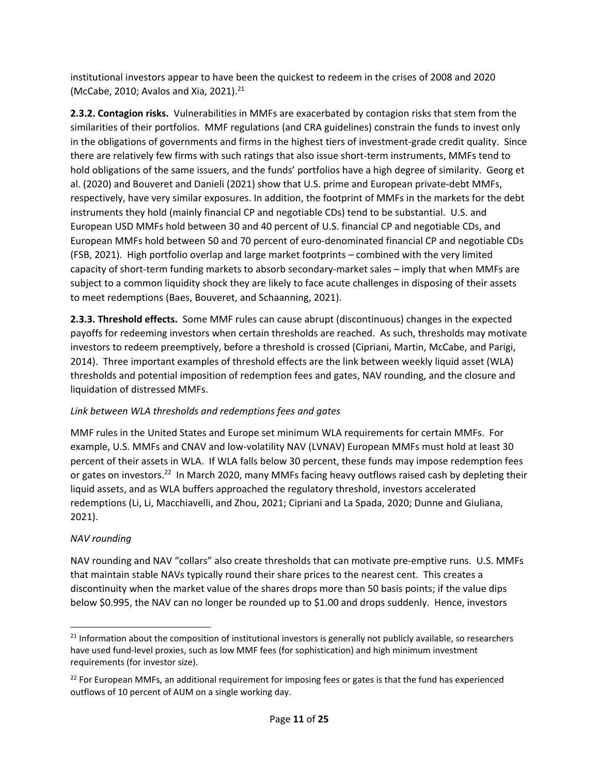institutional investors appear to have been the quickest to redeem in the crises of 2008 and 2020 (McCabe, 2010; Avalos and Xia, 2021). $^{21}$ 

**2.3.2. Contagion risks.** Vulnerabilities in MMFs are exacerbated by contagion risks that stem from the similarities of their portfolios. MMF regulations (and CRA guidelines) constrain the funds to invest only in the obligations of governments and firms in the highest tiers of investment‐grade credit quality. Since there are relatively few firms with such ratings that also issue short-term instruments, MMFs tend to hold obligations of the same issuers, and the funds' portfolios have a high degree of similarity. Georg et al. (2020) and Bouveret and Danieli (2021) show that U.S. prime and European private‐debt MMFs, respectively, have very similar exposures. In addition, the footprint of MMFs in the markets for the debt instruments they hold (mainly financial CP and negotiable CDs) tend to be substantial. U.S. and European USD MMFs hold between 30 and 40 percent of U.S. financial CP and negotiable CDs, and European MMFs hold between 50 and 70 percent of euro‐denominated financial CP and negotiable CDs (FSB, 2021). High portfolio overlap and large market footprints – combined with the very limited capacity of short-term funding markets to absorb secondary-market sales – imply that when MMFs are subject to a common liquidity shock they are likely to face acute challenges in disposing of their assets to meet redemptions (Baes, Bouveret, and Schaanning, 2021).

**2.3.3. Threshold effects.** Some MMF rules can cause abrupt (discontinuous) changes in the expected payoffs for redeeming investors when certain thresholds are reached. As such, thresholds may motivate investors to redeem preemptively, before a threshold is crossed (Cipriani, Martin, McCabe, and Parigi, 2014). Three important examples of threshold effects are the link between weekly liquid asset (WLA) thresholds and potential imposition of redemption fees and gates, NAV rounding, and the closure and liquidation of distressed MMFs.

# *Link between WLA thresholds and redemptions fees and gates*

MMF rules in the United States and Europe set minimum WLA requirements for certain MMFs. For example, U.S. MMFs and CNAV and low-volatility NAV (LVNAV) European MMFs must hold at least 30 percent of their assets in WLA. If WLA falls below 30 percent, these funds may impose redemption fees or gates on investors.<sup>22</sup> In March 2020, many MMFs facing heavy outflows raised cash by depleting their liquid assets, and as WLA buffers approached the regulatory threshold, investors accelerated redemptions (Li, Li, Macchiavelli, and Zhou, 2021; Cipriani and La Spada, 2020; Dunne and Giuliana, 2021).

# *NAV rounding*

NAV rounding and NAV "collars" also create thresholds that can motivate pre‐emptive runs. U.S. MMFs that maintain stable NAVs typically round their share prices to the nearest cent. This creates a discontinuity when the market value of the shares drops more than 50 basis points; if the value dips below \$0.995, the NAV can no longer be rounded up to \$1.00 and drops suddenly. Hence, investors

 $21$  Information about the composition of institutional investors is generally not publicly available, so researchers have used fund-level proxies, such as low MMF fees (for sophistication) and high minimum investment requirements (for investor size).

 $22$  For European MMFs, an additional requirement for imposing fees or gates is that the fund has experienced outflows of 10 percent of AUM on a single working day.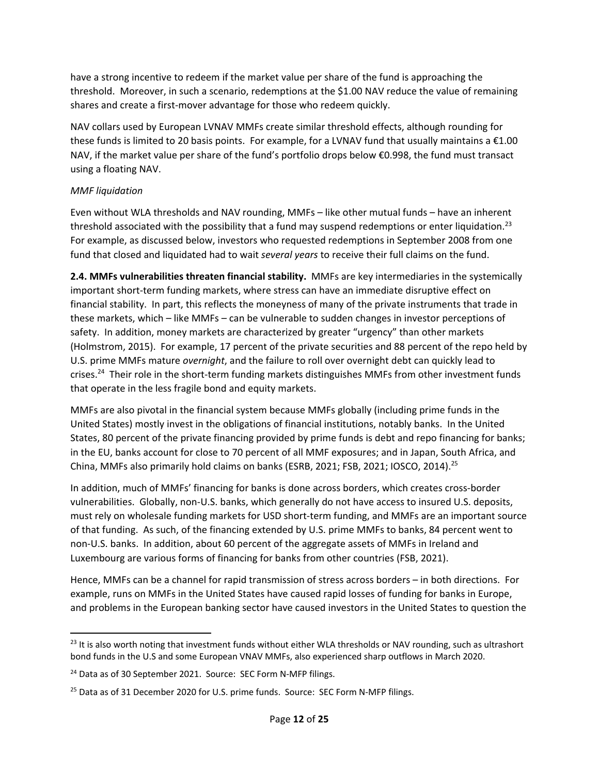have a strong incentive to redeem if the market value per share of the fund is approaching the threshold. Moreover, in such a scenario, redemptions at the \$1.00 NAV reduce the value of remaining shares and create a first‐mover advantage for those who redeem quickly.

NAV collars used by European LVNAV MMFs create similar threshold effects, although rounding for these funds is limited to 20 basis points. For example, for a LVNAV fund that usually maintains a  $\epsilon$ 1.00 NAV, if the market value per share of the fund's portfolio drops below €0.998, the fund must transact using a floating NAV.

#### *MMF liquidation*

Even without WLA thresholds and NAV rounding, MMFs – like other mutual funds – have an inherent threshold associated with the possibility that a fund may suspend redemptions or enter liquidation.<sup>23</sup> For example, as discussed below, investors who requested redemptions in September 2008 from one fund that closed and liquidated had to wait *several years* to receive their full claims on the fund.

**2.4. MMFs vulnerabilities threaten financial stability.** MMFs are key intermediaries in the systemically important short-term funding markets, where stress can have an immediate disruptive effect on financial stability. In part, this reflects the moneyness of many of the private instruments that trade in these markets, which – like MMFs – can be vulnerable to sudden changes in investor perceptions of safety. In addition, money markets are characterized by greater "urgency" than other markets (Holmstrom, 2015). For example, 17 percent of the private securities and 88 percent of the repo held by U.S. prime MMFs mature *overnight*, and the failure to roll over overnight debt can quickly lead to crises.<sup>24</sup> Their role in the short-term funding markets distinguishes MMFs from other investment funds that operate in the less fragile bond and equity markets.

MMFs are also pivotal in the financial system because MMFs globally (including prime funds in the United States) mostly invest in the obligations of financial institutions, notably banks. In the United States, 80 percent of the private financing provided by prime funds is debt and repo financing for banks; in the EU, banks account for close to 70 percent of all MMF exposures; and in Japan, South Africa, and China, MMFs also primarily hold claims on banks (ESRB, 2021; FSB, 2021; IOSCO, 2014).25

In addition, much of MMFs' financing for banks is done across borders, which creates cross‐border vulnerabilities. Globally, non‐U.S. banks, which generally do not have access to insured U.S. deposits, must rely on wholesale funding markets for USD short-term funding, and MMFs are an important source of that funding. As such, of the financing extended by U.S. prime MMFs to banks, 84 percent went to non‐U.S. banks. In addition, about 60 percent of the aggregate assets of MMFs in Ireland and Luxembourg are various forms of financing for banks from other countries (FSB, 2021).

Hence, MMFs can be a channel for rapid transmission of stress across borders – in both directions. For example, runs on MMFs in the United States have caused rapid losses of funding for banks in Europe, and problems in the European banking sector have caused investors in the United States to question the

<sup>&</sup>lt;sup>23</sup> It is also worth noting that investment funds without either WLA thresholds or NAV rounding, such as ultrashort bond funds in the U.S and some European VNAV MMFs, also experienced sharp outflows in March 2020.

<sup>&</sup>lt;sup>24</sup> Data as of 30 September 2021. Source: SEC Form N-MFP filings.

 $^{25}$  Data as of 31 December 2020 for U.S. prime funds. Source: SEC Form N-MFP filings.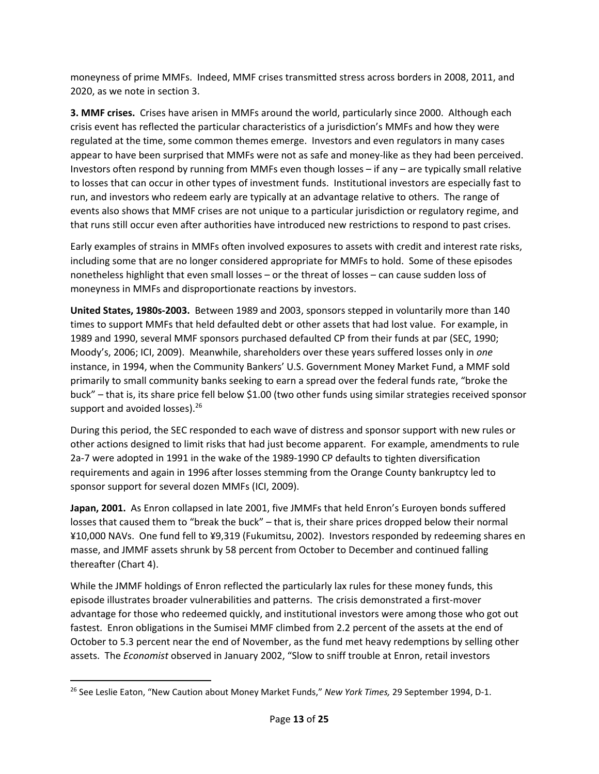moneyness of prime MMFs. Indeed, MMF crises transmitted stress across borders in 2008, 2011, and 2020, as we note in section 3.

**3. MMF crises.** Crises have arisen in MMFs around the world, particularly since 2000. Although each crisis event has reflected the particular characteristics of a jurisdiction's MMFs and how they were regulated at the time, some common themes emerge. Investors and even regulators in many cases appear to have been surprised that MMFs were not as safe and money-like as they had been perceived. Investors often respond by running from MMFs even though losses – if any – are typically small relative to losses that can occur in other types of investment funds. Institutional investors are especially fast to run, and investors who redeem early are typically at an advantage relative to others. The range of events also shows that MMF crises are not unique to a particular jurisdiction or regulatory regime, and that runs still occur even after authorities have introduced new restrictions to respond to past crises.

Early examples of strains in MMFs often involved exposures to assets with credit and interest rate risks, including some that are no longer considered appropriate for MMFs to hold. Some of these episodes nonetheless highlight that even small losses – or the threat of losses – can cause sudden loss of moneyness in MMFs and disproportionate reactions by investors.

**United States, 1980s‐2003.** Between 1989 and 2003, sponsors stepped in voluntarily more than 140 times to support MMFs that held defaulted debt or other assets that had lost value. For example, in 1989 and 1990, several MMF sponsors purchased defaulted CP from their funds at par (SEC, 1990; Moody's, 2006; ICI, 2009). Meanwhile, shareholders over these years suffered losses only in *one* instance, in 1994, when the Community Bankers' U.S. Government Money Market Fund, a MMF sold primarily to small community banks seeking to earn a spread over the federal funds rate, "broke the buck" – that is, its share price fell below \$1.00 (two other funds using similar strategies received sponsor support and avoided losses).<sup>26</sup>

During this period, the SEC responded to each wave of distress and sponsor support with new rules or other actions designed to limit risks that had just become apparent. For example, amendments to rule 2a‐7 were adopted in 1991 in the wake of the 1989‐1990 CP defaults to tighten diversification requirements and again in 1996 after losses stemming from the Orange County bankruptcy led to sponsor support for several dozen MMFs (ICI, 2009).

**Japan, 2001.** As Enron collapsed in late 2001, five JMMFs that held Enron's Euroyen bonds suffered losses that caused them to "break the buck" – that is, their share prices dropped below their normal ¥10,000 NAVs. One fund fell to ¥9,319 (Fukumitsu, 2002). Investors responded by redeeming shares en masse, and JMMF assets shrunk by 58 percent from October to December and continued falling thereafter (Chart 4).

While the JMMF holdings of Enron reflected the particularly lax rules for these money funds, this episode illustrates broader vulnerabilities and patterns. The crisis demonstrated a first-mover advantage for those who redeemed quickly, and institutional investors were among those who got out fastest. Enron obligations in the Sumisei MMF climbed from 2.2 percent of the assets at the end of October to 5.3 percent near the end of November, as the fund met heavy redemptions by selling other assets. The *Economist* observed in January 2002, "Slow to sniff trouble at Enron, retail investors

<sup>26</sup> See Leslie Eaton, "New Caution about Money Market Funds," *New York Times,* 29 September 1994, D‐1.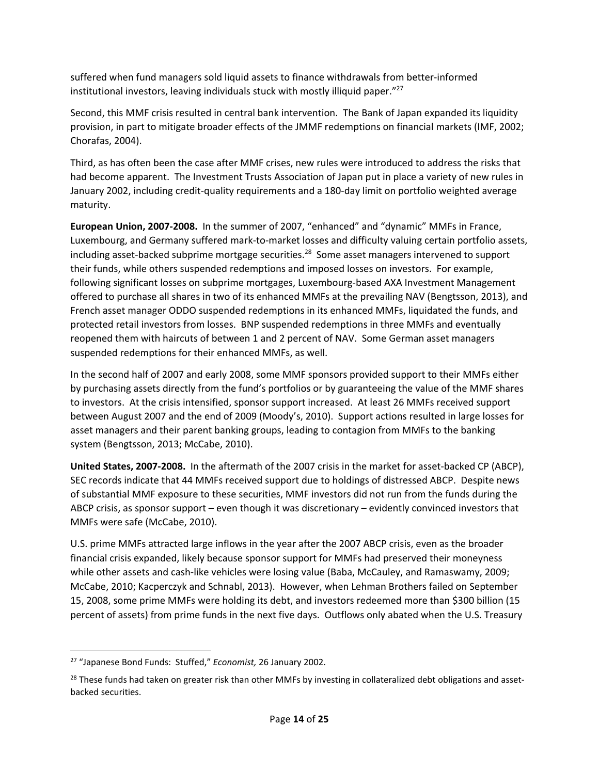suffered when fund managers sold liquid assets to finance withdrawals from better‐informed institutional investors, leaving individuals stuck with mostly illiquid paper."<sup>27</sup>

Second, this MMF crisis resulted in central bank intervention. The Bank of Japan expanded its liquidity provision, in part to mitigate broader effects of the JMMF redemptions on financial markets (IMF, 2002; Chorafas, 2004).

Third, as has often been the case after MMF crises, new rules were introduced to address the risks that had become apparent. The Investment Trusts Association of Japan put in place a variety of new rules in January 2002, including credit‐quality requirements and a 180‐day limit on portfolio weighted average maturity.

**European Union, 2007‐2008.** In the summer of 2007, "enhanced" and "dynamic" MMFs in France, Luxembourg, and Germany suffered mark‐to‐market losses and difficulty valuing certain portfolio assets, including asset-backed subprime mortgage securities.<sup>28</sup> Some asset managers intervened to support their funds, while others suspended redemptions and imposed losses on investors. For example, following significant losses on subprime mortgages, Luxembourg‐based AXA Investment Management offered to purchase all shares in two of its enhanced MMFs at the prevailing NAV (Bengtsson, 2013), and French asset manager ODDO suspended redemptions in its enhanced MMFs, liquidated the funds, and protected retail investors from losses. BNP suspended redemptions in three MMFs and eventually reopened them with haircuts of between 1 and 2 percent of NAV. Some German asset managers suspended redemptions for their enhanced MMFs, as well.

In the second half of 2007 and early 2008, some MMF sponsors provided support to their MMFs either by purchasing assets directly from the fund's portfolios or by guaranteeing the value of the MMF shares to investors. At the crisis intensified, sponsor support increased. At least 26 MMFs received support between August 2007 and the end of 2009 (Moody's, 2010). Support actions resulted in large losses for asset managers and their parent banking groups, leading to contagion from MMFs to the banking system (Bengtsson, 2013; McCabe, 2010).

**United States, 2007‐2008.** In the aftermath of the 2007 crisis in the market for asset‐backed CP (ABCP), SEC records indicate that 44 MMFs received support due to holdings of distressed ABCP. Despite news of substantial MMF exposure to these securities, MMF investors did not run from the funds during the ABCP crisis, as sponsor support – even though it was discretionary – evidently convinced investors that MMFs were safe (McCabe, 2010).

U.S. prime MMFs attracted large inflows in the year after the 2007 ABCP crisis, even as the broader financial crisis expanded, likely because sponsor support for MMFs had preserved their moneyness while other assets and cash‐like vehicles were losing value (Baba, McCauley, and Ramaswamy, 2009; McCabe, 2010; Kacperczyk and Schnabl, 2013). However, when Lehman Brothers failed on September 15, 2008, some prime MMFs were holding its debt, and investors redeemed more than \$300 billion (15 percent of assets) from prime funds in the next five days. Outflows only abated when the U.S. Treasury

<sup>27</sup> "Japanese Bond Funds: Stuffed," *Economist,* 26 January 2002.

<sup>&</sup>lt;sup>28</sup> These funds had taken on greater risk than other MMFs by investing in collateralized debt obligations and assetbacked securities.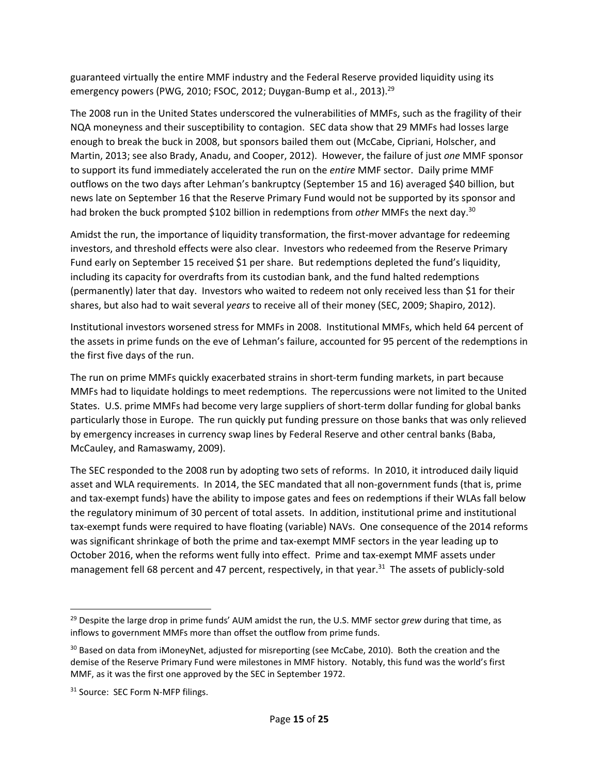guaranteed virtually the entire MMF industry and the Federal Reserve provided liquidity using its emergency powers (PWG, 2010; FSOC, 2012; Duygan-Bump et al., 2013).<sup>29</sup>

The 2008 run in the United States underscored the vulnerabilities of MMFs, such as the fragility of their NQA moneyness and their susceptibility to contagion. SEC data show that 29 MMFs had losses large enough to break the buck in 2008, but sponsors bailed them out (McCabe, Cipriani, Holscher, and Martin, 2013; see also Brady, Anadu, and Cooper, 2012). However, the failure of just *one* MMF sponsor to support its fund immediately accelerated the run on the *entire* MMF sector. Daily prime MMF outflows on the two days after Lehman's bankruptcy (September 15 and 16) averaged \$40 billion, but news late on September 16 that the Reserve Primary Fund would not be supported by its sponsor and had broken the buck prompted \$102 billion in redemptions from *other* MMFs the next day.30

Amidst the run, the importance of liquidity transformation, the first-mover advantage for redeeming investors, and threshold effects were also clear. Investors who redeemed from the Reserve Primary Fund early on September 15 received \$1 per share. But redemptions depleted the fund's liquidity, including its capacity for overdrafts from its custodian bank, and the fund halted redemptions (permanently) later that day. Investors who waited to redeem not only received less than \$1 for their shares, but also had to wait several *years* to receive all of their money (SEC, 2009; Shapiro, 2012).

Institutional investors worsened stress for MMFs in 2008. Institutional MMFs, which held 64 percent of the assets in prime funds on the eve of Lehman's failure, accounted for 95 percent of the redemptions in the first five days of the run.

The run on prime MMFs quickly exacerbated strains in short-term funding markets, in part because MMFs had to liquidate holdings to meet redemptions. The repercussions were not limited to the United States. U.S. prime MMFs had become very large suppliers of short‐term dollar funding for global banks particularly those in Europe. The run quickly put funding pressure on those banks that was only relieved by emergency increases in currency swap lines by Federal Reserve and other central banks (Baba, McCauley, and Ramaswamy, 2009).

The SEC responded to the 2008 run by adopting two sets of reforms. In 2010, it introduced daily liquid asset and WLA requirements. In 2014, the SEC mandated that all non-government funds (that is, prime and tax-exempt funds) have the ability to impose gates and fees on redemptions if their WLAs fall below the regulatory minimum of 30 percent of total assets. In addition, institutional prime and institutional tax‐exempt funds were required to have floating (variable) NAVs. One consequence of the 2014 reforms was significant shrinkage of both the prime and tax-exempt MMF sectors in the year leading up to October 2016, when the reforms went fully into effect. Prime and tax-exempt MMF assets under management fell 68 percent and 47 percent, respectively, in that year.<sup>31</sup> The assets of publicly-sold

<sup>29</sup> Despite the large drop in prime funds' AUM amidst the run, the U.S. MMF sector *grew* during that time, as inflows to government MMFs more than offset the outflow from prime funds.

<sup>&</sup>lt;sup>30</sup> Based on data from iMoneyNet, adjusted for misreporting (see McCabe, 2010). Both the creation and the demise of the Reserve Primary Fund were milestones in MMF history. Notably, this fund was the world's first MMF, as it was the first one approved by the SEC in September 1972.

<sup>&</sup>lt;sup>31</sup> Source: SEC Form N-MFP filings.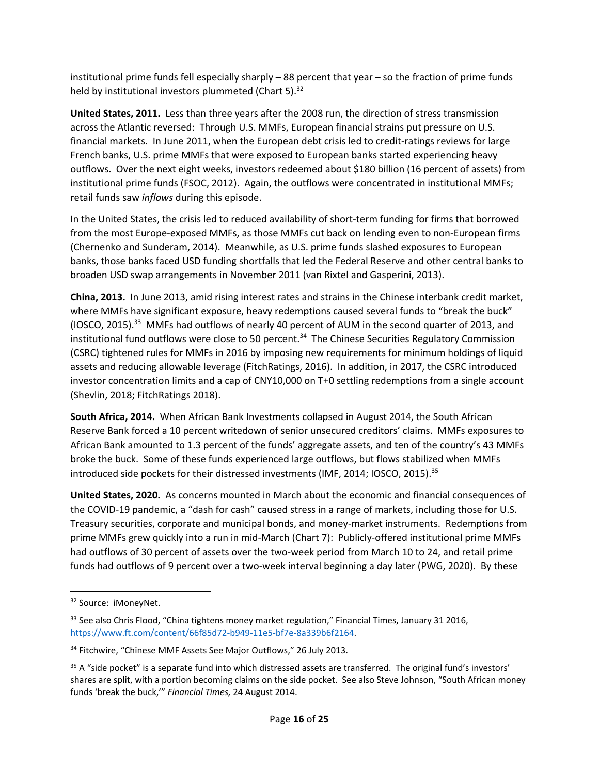institutional prime funds fell especially sharply – 88 percent that year – so the fraction of prime funds held by institutional investors plummeted (Chart 5).<sup>32</sup>

**United States, 2011.** Less than three years after the 2008 run, the direction of stress transmission across the Atlantic reversed: Through U.S. MMFs, European financial strains put pressure on U.S. financial markets. In June 2011, when the European debt crisis led to credit-ratings reviews for large French banks, U.S. prime MMFs that were exposed to European banks started experiencing heavy outflows. Over the next eight weeks, investors redeemed about \$180 billion (16 percent of assets) from institutional prime funds (FSOC, 2012). Again, the outflows were concentrated in institutional MMFs; retail funds saw *inflows* during this episode.

In the United States, the crisis led to reduced availability of short-term funding for firms that borrowed from the most Europe-exposed MMFs, as those MMFs cut back on lending even to non-European firms (Chernenko and Sunderam, 2014). Meanwhile, as U.S. prime funds slashed exposures to European banks, those banks faced USD funding shortfalls that led the Federal Reserve and other central banks to broaden USD swap arrangements in November 2011 (van Rixtel and Gasperini, 2013).

**China, 2013.** In June 2013, amid rising interest rates and strains in the Chinese interbank credit market, where MMFs have significant exposure, heavy redemptions caused several funds to "break the buck" (IOSCO, 2015).<sup>33</sup> MMFs had outflows of nearly 40 percent of AUM in the second quarter of 2013, and institutional fund outflows were close to 50 percent.<sup>34</sup> The Chinese Securities Regulatory Commission (CSRC) tightened rules for MMFs in 2016 by imposing new requirements for minimum holdings of liquid assets and reducing allowable leverage (FitchRatings, 2016). In addition, in 2017, the CSRC introduced investor concentration limits and a cap of CNY10,000 on T+0 settling redemptions from a single account (Shevlin, 2018; FitchRatings 2018).

**South Africa, 2014.** When African Bank Investments collapsed in August 2014, the South African Reserve Bank forced a 10 percent writedown of senior unsecured creditors' claims. MMFs exposures to African Bank amounted to 1.3 percent of the funds' aggregate assets, and ten of the country's 43 MMFs broke the buck. Some of these funds experienced large outflows, but flows stabilized when MMFs introduced side pockets for their distressed investments (IMF, 2014; IOSCO, 2015).<sup>35</sup>

**United States, 2020.** As concerns mounted in March about the economic and financial consequences of the COVID‐19 pandemic, a "dash for cash" caused stress in a range of markets, including those for U.S. Treasury securities, corporate and municipal bonds, and money‐market instruments. Redemptions from prime MMFs grew quickly into a run in mid-March (Chart 7): Publicly-offered institutional prime MMFs had outflows of 30 percent of assets over the two-week period from March 10 to 24, and retail prime funds had outflows of 9 percent over a two-week interval beginning a day later (PWG, 2020). By these

<sup>&</sup>lt;sup>32</sup> Source: iMoneyNet.

<sup>&</sup>lt;sup>33</sup> See also Chris Flood, "China tightens money market regulation," Financial Times, January 31 2016, https://www.ft.com/content/66f85d72‐b949‐11e5‐bf7e‐8a339b6f2164.

<sup>&</sup>lt;sup>34</sup> Fitchwire, "Chinese MMF Assets See Major Outflows," 26 July 2013.

 $35$  A "side pocket" is a separate fund into which distressed assets are transferred. The original fund's investors' shares are split, with a portion becoming claims on the side pocket. See also Steve Johnson, "South African money funds 'break the buck,'" *Financial Times,* 24 August 2014.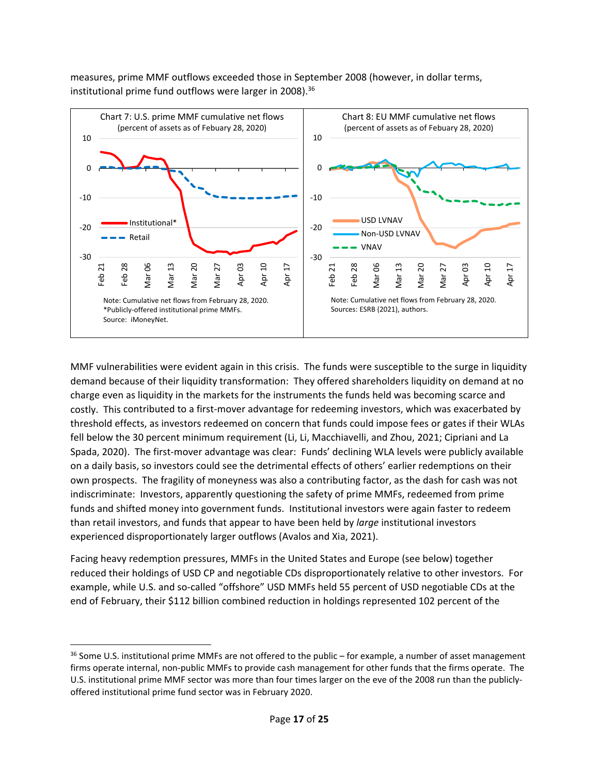measures, prime MMF outflows exceeded those in September 2008 (however, in dollar terms, institutional prime fund outflows were larger in 2008).<sup>36</sup>



MMF vulnerabilities were evident again in this crisis. The funds were susceptible to the surge in liquidity demand because of their liquidity transformation: They offered shareholders liquidity on demand at no charge even as liquidity in the markets for the instruments the funds held was becoming scarce and costly. This contributed to a first-mover advantage for redeeming investors, which was exacerbated by threshold effects, as investors redeemed on concern that funds could impose fees or gates if their WLAs fell below the 30 percent minimum requirement (Li, Li, Macchiavelli, and Zhou, 2021; Cipriani and La Spada, 2020). The first-mover advantage was clear: Funds' declining WLA levels were publicly available on a daily basis, so investors could see the detrimental effects of others' earlier redemptions on their own prospects. The fragility of moneyness was also a contributing factor, as the dash for cash was not indiscriminate: Investors, apparently questioning the safety of prime MMFs, redeemed from prime funds and shifted money into government funds. Institutional investors were again faster to redeem than retail investors, and funds that appear to have been held by *large* institutional investors experienced disproportionately larger outflows (Avalos and Xia, 2021).

Facing heavy redemption pressures, MMFs in the United States and Europe (see below) together reduced their holdings of USD CP and negotiable CDs disproportionately relative to other investors. For example, while U.S. and so‐called "offshore" USD MMFs held 55 percent of USD negotiable CDs at the end of February, their \$112 billion combined reduction in holdings represented 102 percent of the

<sup>&</sup>lt;sup>36</sup> Some U.S. institutional prime MMFs are not offered to the public – for example, a number of asset management firms operate internal, non‐public MMFs to provide cash management for other funds that the firms operate. The U.S. institutional prime MMF sector was more than four times larger on the eve of the 2008 run than the publicly‐ offered institutional prime fund sector was in February 2020.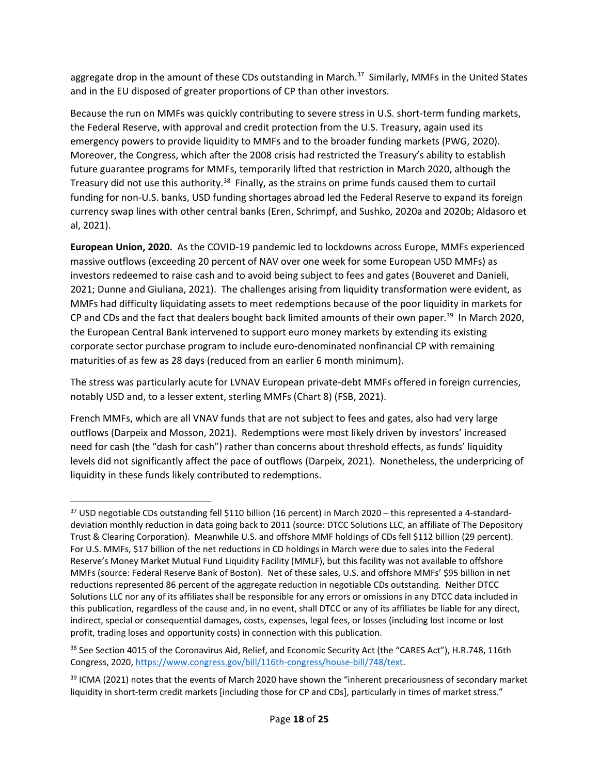aggregate drop in the amount of these CDs outstanding in March.<sup>37</sup> Similarly, MMFs in the United States and in the EU disposed of greater proportions of CP than other investors.

Because the run on MMFs was quickly contributing to severe stress in U.S. short-term funding markets, the Federal Reserve, with approval and credit protection from the U.S. Treasury, again used its emergency powers to provide liquidity to MMFs and to the broader funding markets (PWG, 2020). Moreover, the Congress, which after the 2008 crisis had restricted the Treasury's ability to establish future guarantee programs for MMFs, temporarily lifted that restriction in March 2020, although the Treasury did not use this authority.<sup>38</sup> Finally, as the strains on prime funds caused them to curtail funding for non‐U.S. banks, USD funding shortages abroad led the Federal Reserve to expand its foreign currency swap lines with other central banks (Eren, Schrimpf, and Sushko, 2020a and 2020b; Aldasoro et al, 2021).

**European Union, 2020.** As the COVID‐19 pandemic led to lockdowns across Europe, MMFs experienced massive outflows (exceeding 20 percent of NAV over one week for some European USD MMFs) as investors redeemed to raise cash and to avoid being subject to fees and gates (Bouveret and Danieli, 2021; Dunne and Giuliana, 2021). The challenges arising from liquidity transformation were evident, as MMFs had difficulty liquidating assets to meet redemptions because of the poor liquidity in markets for CP and CDs and the fact that dealers bought back limited amounts of their own paper.<sup>39</sup> In March 2020, the European Central Bank intervened to support euro money markets by extending its existing corporate sector purchase program to include euro‐denominated nonfinancial CP with remaining maturities of as few as 28 days (reduced from an earlier 6 month minimum).

The stress was particularly acute for LVNAV European private‐debt MMFs offered in foreign currencies, notably USD and, to a lesser extent, sterling MMFs (Chart 8) (FSB, 2021).

French MMFs, which are all VNAV funds that are not subject to fees and gates, also had very large outflows (Darpeix and Mosson, 2021). Redemptions were most likely driven by investors' increased need for cash (the "dash for cash") rather than concerns about threshold effects, as funds' liquidity levels did not significantly affect the pace of outflows (Darpeix, 2021). Nonetheless, the underpricing of liquidity in these funds likely contributed to redemptions.

 $37$  USD negotiable CDs outstanding fell \$110 billion (16 percent) in March 2020 – this represented a 4-standarddeviation monthly reduction in data going back to 2011 (source: DTCC Solutions LLC, an affiliate of The Depository Trust & Clearing Corporation). Meanwhile U.S. and offshore MMF holdings of CDs fell \$112 billion (29 percent). For U.S. MMFs, \$17 billion of the net reductions in CD holdings in March were due to sales into the Federal Reserve's Money Market Mutual Fund Liquidity Facility (MMLF), but this facility was not available to offshore MMFs (source: Federal Reserve Bank of Boston). Net of these sales, U.S. and offshore MMFs' \$95 billion in net reductions represented 86 percent of the aggregate reduction in negotiable CDs outstanding. Neither DTCC Solutions LLC nor any of its affiliates shall be responsible for any errors or omissions in any DTCC data included in this publication, regardless of the cause and, in no event, shall DTCC or any of its affiliates be liable for any direct, indirect, special or consequential damages, costs, expenses, legal fees, or losses (including lost income or lost profit, trading loses and opportunity costs) in connection with this publication.

<sup>38</sup> See Section 4015 of the Coronavirus Aid, Relief, and Economic Security Act (the "CARES Act"), H.R.748, 116th Congress, 2020, https://www.congress.gov/bill/116th‐congress/house‐bill/748/text.

<sup>&</sup>lt;sup>39</sup> ICMA (2021) notes that the events of March 2020 have shown the "inherent precariousness of secondary market liquidity in short-term credit markets [including those for CP and CDs], particularly in times of market stress."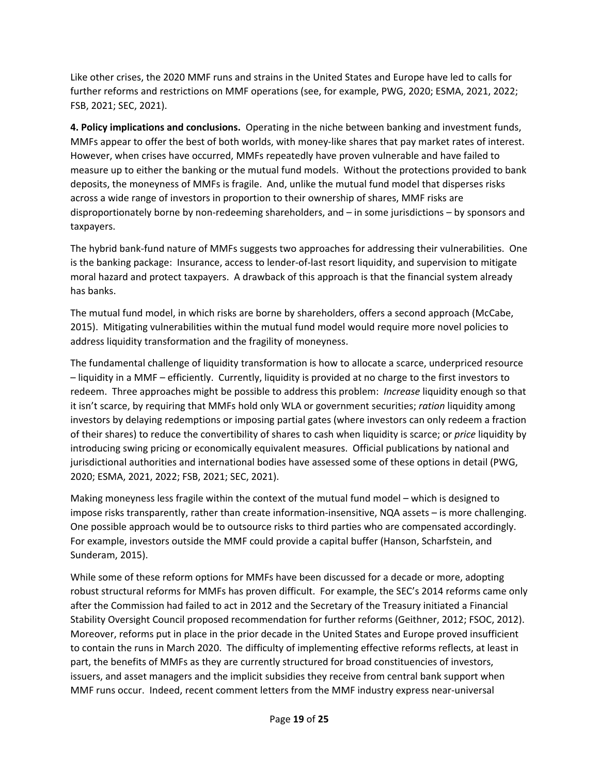Like other crises, the 2020 MMF runs and strains in the United States and Europe have led to calls for further reforms and restrictions on MMF operations (see, for example, PWG, 2020; ESMA, 2021, 2022; FSB, 2021; SEC, 2021).

**4. Policy implications and conclusions.** Operating in the niche between banking and investment funds, MMFs appear to offer the best of both worlds, with money-like shares that pay market rates of interest. However, when crises have occurred, MMFs repeatedly have proven vulnerable and have failed to measure up to either the banking or the mutual fund models. Without the protections provided to bank deposits, the moneyness of MMFs is fragile. And, unlike the mutual fund model that disperses risks across a wide range of investors in proportion to their ownership of shares, MMF risks are disproportionately borne by non‐redeeming shareholders, and – in some jurisdictions – by sponsors and taxpayers.

The hybrid bank‐fund nature of MMFs suggests two approaches for addressing their vulnerabilities. One is the banking package: Insurance, access to lender‐of‐last resort liquidity, and supervision to mitigate moral hazard and protect taxpayers. A drawback of this approach is that the financial system already has banks.

The mutual fund model, in which risks are borne by shareholders, offers a second approach (McCabe, 2015). Mitigating vulnerabilities within the mutual fund model would require more novel policies to address liquidity transformation and the fragility of moneyness.

The fundamental challenge of liquidity transformation is how to allocate a scarce, underpriced resource – liquidity in a MMF – efficiently. Currently, liquidity is provided at no charge to the first investors to redeem. Three approaches might be possible to address this problem: *Increase* liquidity enough so that it isn't scarce, by requiring that MMFs hold only WLA or government securities; *ration* liquidity among investors by delaying redemptions or imposing partial gates (where investors can only redeem a fraction of their shares) to reduce the convertibility of shares to cash when liquidity is scarce; or *price* liquidity by introducing swing pricing or economically equivalent measures. Official publications by national and jurisdictional authorities and international bodies have assessed some of these options in detail (PWG, 2020; ESMA, 2021, 2022; FSB, 2021; SEC, 2021).

Making moneyness less fragile within the context of the mutual fund model – which is designed to impose risks transparently, rather than create information-insensitive, NQA assets – is more challenging. One possible approach would be to outsource risks to third parties who are compensated accordingly. For example, investors outside the MMF could provide a capital buffer (Hanson, Scharfstein, and Sunderam, 2015).

While some of these reform options for MMFs have been discussed for a decade or more, adopting robust structural reforms for MMFs has proven difficult. For example, the SEC's 2014 reforms came only after the Commission had failed to act in 2012 and the Secretary of the Treasury initiated a Financial Stability Oversight Council proposed recommendation for further reforms (Geithner, 2012; FSOC, 2012). Moreover, reforms put in place in the prior decade in the United States and Europe proved insufficient to contain the runs in March 2020. The difficulty of implementing effective reforms reflects, at least in part, the benefits of MMFs as they are currently structured for broad constituencies of investors, issuers, and asset managers and the implicit subsidies they receive from central bank support when MMF runs occur. Indeed, recent comment letters from the MMF industry express near‐universal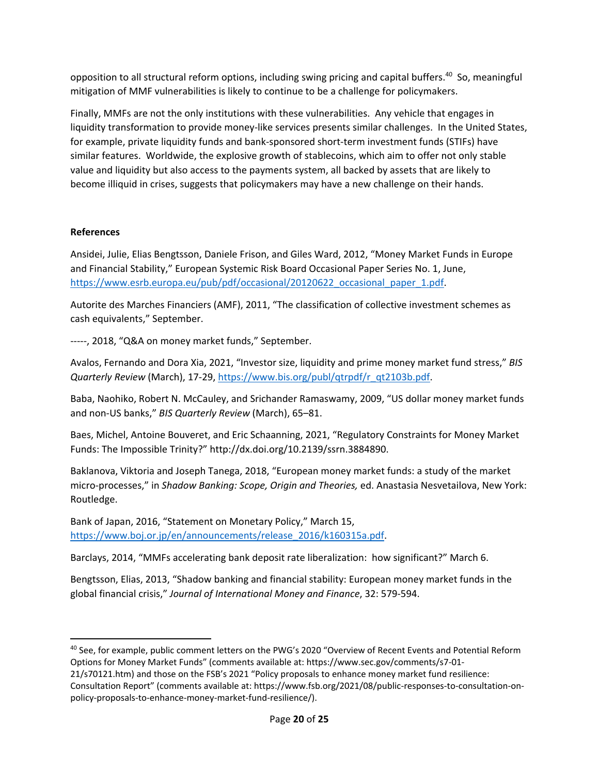opposition to all structural reform options, including swing pricing and capital buffers.<sup>40</sup> So, meaningful mitigation of MMF vulnerabilities is likely to continue to be a challenge for policymakers.

Finally, MMFs are not the only institutions with these vulnerabilities. Any vehicle that engages in liquidity transformation to provide money‐like services presents similar challenges. In the United States, for example, private liquidity funds and bank‐sponsored short‐term investment funds (STIFs) have similar features. Worldwide, the explosive growth of stablecoins, which aim to offer not only stable value and liquidity but also access to the payments system, all backed by assets that are likely to become illiquid in crises, suggests that policymakers may have a new challenge on their hands.

#### **References**

Ansidei, Julie, Elias Bengtsson, Daniele Frison, and Giles Ward, 2012, "Money Market Funds in Europe and Financial Stability," European Systemic Risk Board Occasional Paper Series No. 1, June, https://www.esrb.europa.eu/pub/pdf/occasional/20120622\_occasional\_paper\_1.pdf.

Autorite des Marches Financiers (AMF), 2011, "The classification of collective investment schemes as cash equivalents," September.

‐‐‐‐‐, 2018, "Q&A on money market funds," September.

Avalos, Fernando and Dora Xia, 2021, "Investor size, liquidity and prime money market fund stress," *BIS Quarterly Review* (March), 17‐29, https://www.bis.org/publ/qtrpdf/r\_qt2103b.pdf.

Baba, Naohiko, Robert N. McCauley, and Srichander Ramaswamy, 2009, "US dollar money market funds and non‐US banks," *BIS Quarterly Review* (March), 65–81.

Baes, Michel, Antoine Bouveret, and Eric Schaanning, 2021, "Regulatory Constraints for Money Market Funds: The Impossible Trinity?" http://dx.doi.org/10.2139/ssrn.3884890.

Baklanova, Viktoria and Joseph Tanega, 2018, "European money market funds: a study of the market micro‐processes," in *Shadow Banking: Scope, Origin and Theories,* ed. Anastasia Nesvetailova, New York: Routledge.

Bank of Japan, 2016, "Statement on Monetary Policy," March 15, https://www.boj.or.jp/en/announcements/release\_2016/k160315a.pdf.

Barclays, 2014, "MMFs accelerating bank deposit rate liberalization: how significant?" March 6.

Bengtsson, Elias, 2013, "Shadow banking and financial stability: European money market funds in the global financial crisis," *Journal of International Money and Finance*, 32: 579‐594.

<sup>&</sup>lt;sup>40</sup> See, for example, public comment letters on the PWG's 2020 "Overview of Recent Events and Potential Reform Options for Money Market Funds" (comments available at: https://www.sec.gov/comments/s7‐01‐

<sup>21/</sup>s70121.htm) and those on the FSB's 2021 "Policy proposals to enhance money market fund resilience: Consultation Report" (comments available at: https://www.fsb.org/2021/08/public‐responses‐to‐consultation‐on‐ policy‐proposals‐to‐enhance‐money‐market‐fund‐resilience/).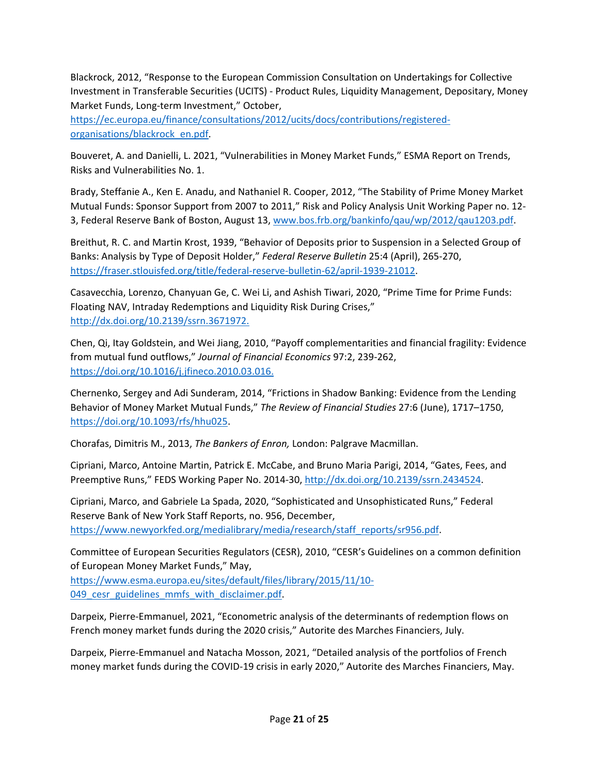Blackrock, 2012, "Response to the European Commission Consultation on Undertakings for Collective Investment in Transferable Securities (UCITS) ‐ Product Rules, Liquidity Management, Depositary, Money Market Funds, Long‐term Investment," October,

https://ec.europa.eu/finance/consultations/2012/ucits/docs/contributions/registered‐ organisations/blackrock\_en.pdf.

Bouveret, A. and Danielli, L. 2021, "Vulnerabilities in Money Market Funds," ESMA Report on Trends, Risks and Vulnerabilities No. 1.

Brady, Steffanie A., Ken E. Anadu, and Nathaniel R. Cooper, 2012, "The Stability of Prime Money Market Mutual Funds: Sponsor Support from 2007 to 2011," Risk and Policy Analysis Unit Working Paper no. 12‐ 3, Federal Reserve Bank of Boston, August 13, www.bos.frb.org/bankinfo/qau/wp/2012/qau1203.pdf.

Breithut, R. C. and Martin Krost, 1939, "Behavior of Deposits prior to Suspension in a Selected Group of Banks: Analysis by Type of Deposit Holder," *Federal Reserve Bulletin* 25:4 (April), 265‐270, https://fraser.stlouisfed.org/title/federal‐reserve‐bulletin‐62/april‐1939‐21012.

Casavecchia, Lorenzo, Chanyuan Ge, C. Wei Li, and Ashish Tiwari, 2020, "Prime Time for Prime Funds: Floating NAV, Intraday Redemptions and Liquidity Risk During Crises," http://dx.doi.org/10.2139/ssrn.3671972.

Chen, Qi, Itay Goldstein, and Wei Jiang, 2010, "Payoff complementarities and financial fragility: Evidence from mutual fund outflows," *Journal of Financial Economics* 97:2, 239‐262, https://doi.org/10.1016/j.jfineco.2010.03.016.

Chernenko, Sergey and Adi Sunderam, 2014, "Frictions in Shadow Banking: Evidence from the Lending Behavior of Money Market Mutual Funds," *The Review of Financial Studies* 27:6 (June), 1717–1750, https://doi.org/10.1093/rfs/hhu025.

Chorafas, Dimitris M., 2013, *The Bankers of Enron,* London: Palgrave Macmillan.

Cipriani, Marco, Antoine Martin, Patrick E. McCabe, and Bruno Maria Parigi, 2014, "Gates, Fees, and Preemptive Runs," FEDS Working Paper No. 2014-30, http://dx.doi.org/10.2139/ssrn.2434524.

Cipriani, Marco, and Gabriele La Spada, 2020, "Sophisticated and Unsophisticated Runs," Federal Reserve Bank of New York Staff Reports, no. 956, December, https://www.newyorkfed.org/medialibrary/media/research/staff\_reports/sr956.pdf.

Committee of European Securities Regulators (CESR), 2010, "CESR's Guidelines on a common definition of European Money Market Funds," May, https://www.esma.europa.eu/sites/default/files/library/2015/11/10‐

049 cesr\_guidelines\_mmfs\_with\_disclaimer.pdf.

Darpeix, Pierre‐Emmanuel, 2021, "Econometric analysis of the determinants of redemption flows on French money market funds during the 2020 crisis," Autorite des Marches Financiers, July.

Darpeix, Pierre‐Emmanuel and Natacha Mosson, 2021, "Detailed analysis of the portfolios of French money market funds during the COVID‐19 crisis in early 2020," Autorite des Marches Financiers, May.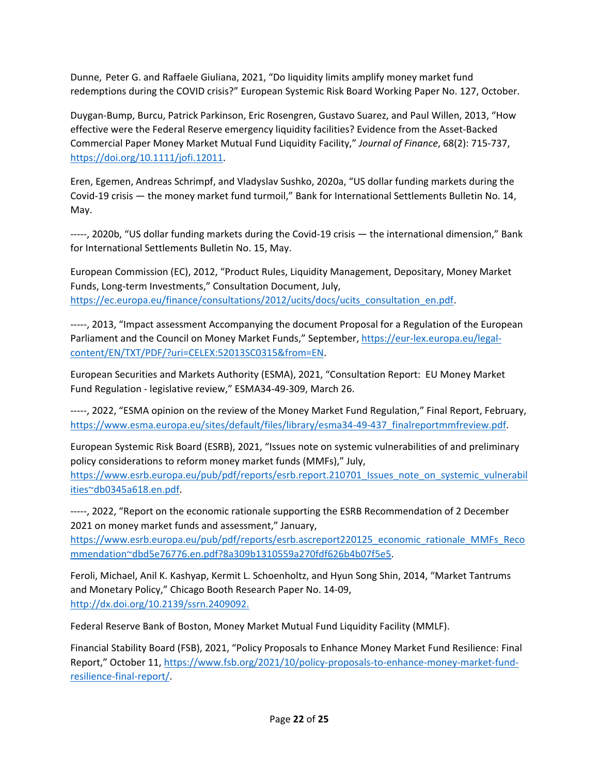Dunne, Peter G. and Raffaele Giuliana, 2021, "Do liquidity limits amplify money market fund redemptions during the COVID crisis?" European Systemic Risk Board Working Paper No. 127, October.

Duygan‐Bump, Burcu, Patrick Parkinson, Eric Rosengren, Gustavo Suarez, and Paul Willen, 2013, "How effective were the Federal Reserve emergency liquidity facilities? Evidence from the Asset‐Backed Commercial Paper Money Market Mutual Fund Liquidity Facility," *Journal of Finance*, 68(2): 715‐737, https://doi.org/10.1111/jofi.12011.

Eren, Egemen, Andreas Schrimpf, and Vladyslav Sushko, 2020a, "US dollar funding markets during the Covid‐19 crisis — the money market fund turmoil," Bank for International Settlements Bulletin No. 14, May.

‐‐‐‐‐, 2020b, "US dollar funding markets during the Covid‐19 crisis — the international dimension," Bank for International Settlements Bulletin No. 15, May.

European Commission (EC), 2012, "Product Rules, Liquidity Management, Depositary, Money Market Funds, Long‐term Investments," Consultation Document, July, https://ec.europa.eu/finance/consultations/2012/ucits/docs/ucits\_consultation\_en.pdf.

‐‐‐‐‐, 2013, "Impact assessment Accompanying the document Proposal for a Regulation of the European Parliament and the Council on Money Market Funds," September, https://eur‐lex.europa.eu/legal‐ content/EN/TXT/PDF/?uri=CELEX:52013SC0315&from=EN.

European Securities and Markets Authority (ESMA), 2021, "Consultation Report: EU Money Market Fund Regulation ‐ legislative review," ESMA34‐49‐309, March 26.

-----, 2022, "ESMA opinion on the review of the Money Market Fund Regulation," Final Report, February, https://www.esma.europa.eu/sites/default/files/library/esma34-49-437\_finalreportmmfreview.pdf.

European Systemic Risk Board (ESRB), 2021, "Issues note on systemic vulnerabilities of and preliminary policy considerations to reform money market funds (MMFs)," July,

https://www.esrb.europa.eu/pub/pdf/reports/esrb.report.210701\_Issues\_note\_on\_systemic\_vulnerabil\_ ities~db0345a618.en.pdf.

-----, 2022, "Report on the economic rationale supporting the ESRB Recommendation of 2 December 2021 on money market funds and assessment," January,

https://www.esrb.europa.eu/pub/pdf/reports/esrb.ascreport220125\_economic\_rationale\_MMFs\_Reco mmendation~dbd5e76776.en.pdf?8a309b1310559a270fdf626b4b07f5e5.

Feroli, Michael, Anil K. Kashyap, Kermit L. Schoenholtz, and Hyun Song Shin, 2014, "Market Tantrums and Monetary Policy," Chicago Booth Research Paper No. 14‐09, http://dx.doi.org/10.2139/ssrn.2409092.

Federal Reserve Bank of Boston, Money Market Mutual Fund Liquidity Facility (MMLF).

Financial Stability Board (FSB), 2021, "Policy Proposals to Enhance Money Market Fund Resilience: Final Report," October 11, https://www.fsb.org/2021/10/policy-proposals-to-enhance-money-market-fundresilience‐final‐report/.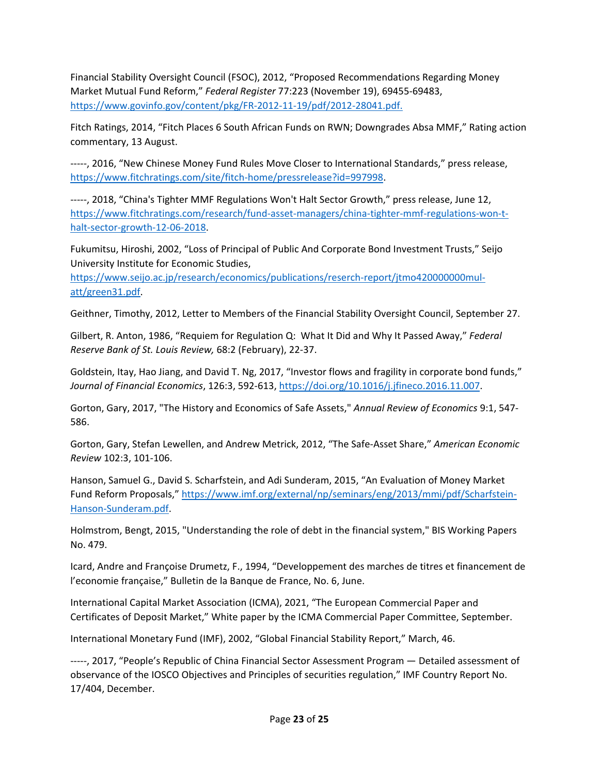Financial Stability Oversight Council (FSOC), 2012, "Proposed Recommendations Regarding Money Market Mutual Fund Reform," *Federal Register* 77:223 (November 19), 69455‐69483, https://www.govinfo.gov/content/pkg/FR‐2012‐11‐19/pdf/2012‐28041.pdf.

Fitch Ratings, 2014, "Fitch Places 6 South African Funds on RWN; Downgrades Absa MMF," Rating action commentary, 13 August.

‐‐‐‐‐, 2016, "New Chinese Money Fund Rules Move Closer to International Standards," press release, https://www.fitchratings.com/site/fitch-home/pressrelease?id=997998.

‐‐‐‐‐, 2018, "China's Tighter MMF Regulations Won't Halt Sector Growth," press release, June 12, https://www.fitchratings.com/research/fund-asset-managers/china-tighter-mmf-regulations-won-thalt-sector-growth-12-06-2018.

Fukumitsu, Hiroshi, 2002, "Loss of Principal of Public And Corporate Bond Investment Trusts," Seijo University Institute for Economic Studies,

https://www.seijo.ac.jp/research/economics/publications/reserch-report/jtmo420000000mulatt/green31.pdf.

Geithner, Timothy, 2012, Letter to Members of the Financial Stability Oversight Council, September 27.

Gilbert, R. Anton, 1986, "Requiem for Regulation Q: What It Did and Why It Passed Away," *Federal Reserve Bank of St. Louis Review,* 68:2 (February), 22‐37.

Goldstein, Itay, Hao Jiang, and David T. Ng, 2017, "Investor flows and fragility in corporate bond funds," *Journal of Financial Economics*, 126:3, 592‐613, https://doi.org/10.1016/j.jfineco.2016.11.007.

Gorton, Gary, 2017, "The History and Economics of Safe Assets," *Annual Review of Economics* 9:1, 547‐ 586.

Gorton, Gary, Stefan Lewellen, and Andrew Metrick, 2012, "The Safe‐Asset Share," *American Economic Review* 102:3, 101‐106.

Hanson, Samuel G., David S. Scharfstein, and Adi Sunderam, 2015, "An Evaluation of Money Market Fund Reform Proposals," https://www.imf.org/external/np/seminars/eng/2013/mmi/pdf/Scharfstein‐ Hanson‐Sunderam.pdf.

Holmstrom, Bengt, 2015, "Understanding the role of debt in the financial system," BIS Working Papers No. 479.

Icard, Andre and Françoise Drumetz, F., 1994, "Developpement des marches de titres et financement de l'economie française," Bulletin de la Banque de France, No. 6, June.

International Capital Market Association (ICMA), 2021, "The European Commercial Paper and Certificates of Deposit Market," White paper by the ICMA Commercial Paper Committee, September.

International Monetary Fund (IMF), 2002, "Global Financial Stability Report," March, 46.

‐‐‐‐‐, 2017, "People's Republic of China Financial Sector Assessment Program — Detailed assessment of observance of the IOSCO Objectives and Principles of securities regulation," IMF Country Report No. 17/404, December.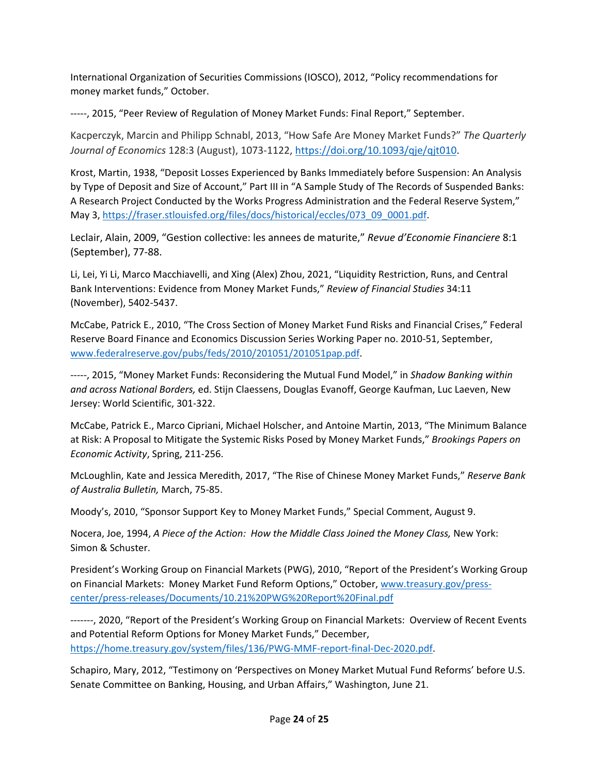International Organization of Securities Commissions (IOSCO), 2012, "Policy recommendations for money market funds," October.

-----, 2015, "Peer Review of Regulation of Money Market Funds: Final Report," September.

Kacperczyk, Marcin and Philipp Schnabl, 2013, "How Safe Are Money Market Funds?" *The Quarterly Journal of Economics* 128:3 (August), 1073‐1122, https://doi.org/10.1093/qje/qjt010.

Krost, Martin, 1938, "Deposit Losses Experienced by Banks Immediately before Suspension: An Analysis by Type of Deposit and Size of Account," Part III in "A Sample Study of The Records of Suspended Banks: A Research Project Conducted by the Works Progress Administration and the Federal Reserve System," May 3, https://fraser.stlouisfed.org/files/docs/historical/eccles/073\_09\_0001.pdf.

Leclair, Alain, 2009, "Gestion collective: les annees de maturite," *Revue d'Economie Financiere* 8:1 (September), 77‐88.

Li, Lei, Yi Li, Marco Macchiavelli, and Xing (Alex) Zhou, 2021, "Liquidity Restriction, Runs, and Central Bank Interventions: Evidence from Money Market Funds," *Review of Financial Studies* 34:11 (November), 5402‐5437.

McCabe, Patrick E., 2010, "The Cross Section of Money Market Fund Risks and Financial Crises," Federal Reserve Board Finance and Economics Discussion Series Working Paper no. 2010‐51, September, www.federalreserve.gov/pubs/feds/2010/201051/201051pap.pdf.

‐‐‐‐‐, 2015, "Money Market Funds: Reconsidering the Mutual Fund Model," in *Shadow Banking within and across National Borders,* ed. Stijn Claessens, Douglas Evanoff, George Kaufman, Luc Laeven, New Jersey: World Scientific, 301‐322.

McCabe, Patrick E., Marco Cipriani, Michael Holscher, and Antoine Martin, 2013, "The Minimum Balance at Risk: A Proposal to Mitigate the Systemic Risks Posed by Money Market Funds," *Brookings Papers on Economic Activity*, Spring, 211‐256.

McLoughlin, Kate and Jessica Meredith, 2017, "The Rise of Chinese Money Market Funds," *Reserve Bank of Australia Bulletin,* March, 75‐85.

Moody's, 2010, "Sponsor Support Key to Money Market Funds," Special Comment, August 9.

Nocera, Joe, 1994, *A Piece of the Action: How the Middle Class Joined the Money Class,* New York: Simon & Schuster.

President's Working Group on Financial Markets (PWG), 2010, "Report of the President's Working Group on Financial Markets: Money Market Fund Reform Options," October, www.treasury.gov/presscenter/press‐releases/Documents/10.21%20PWG%20Report%20Final.pdf

‐‐‐‐‐‐‐, 2020, "Report of the President's Working Group on Financial Markets: Overview of Recent Events and Potential Reform Options for Money Market Funds," December, https://home.treasury.gov/system/files/136/PWG‐MMF‐report‐final‐Dec‐2020.pdf.

Schapiro, Mary, 2012, "Testimony on 'Perspectives on Money Market Mutual Fund Reforms' before U.S. Senate Committee on Banking, Housing, and Urban Affairs," Washington, June 21.